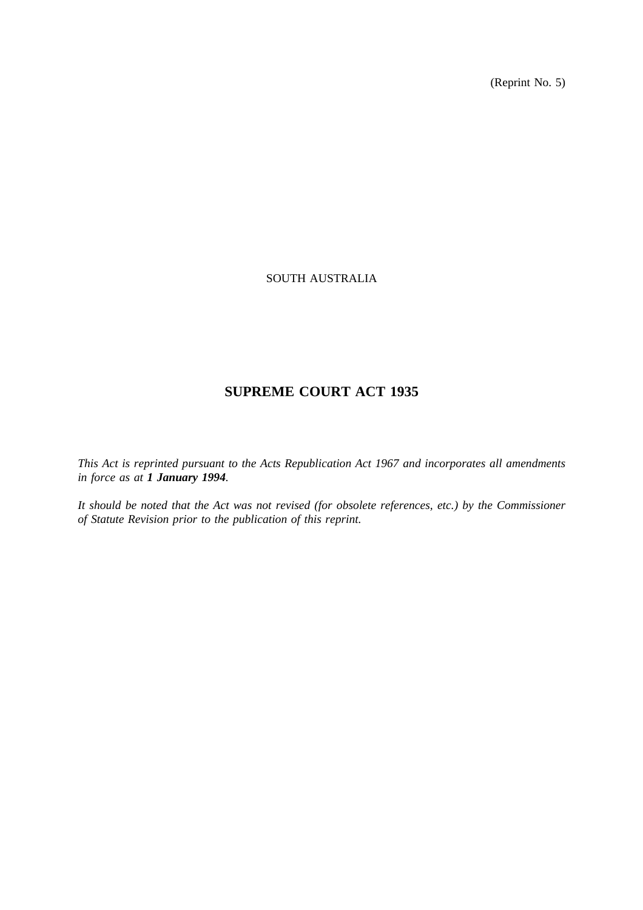(Reprint No. 5)

# SOUTH AUSTRALIA

# **SUPREME COURT ACT 1935**

*This Act is reprinted pursuant to the Acts Republication Act 1967 and incorporates all amendments in force as at 1 January 1994.*

*It should be noted that the Act was not revised (for obsolete references, etc.) by the Commissioner of Statute Revision prior to the publication of this reprint.*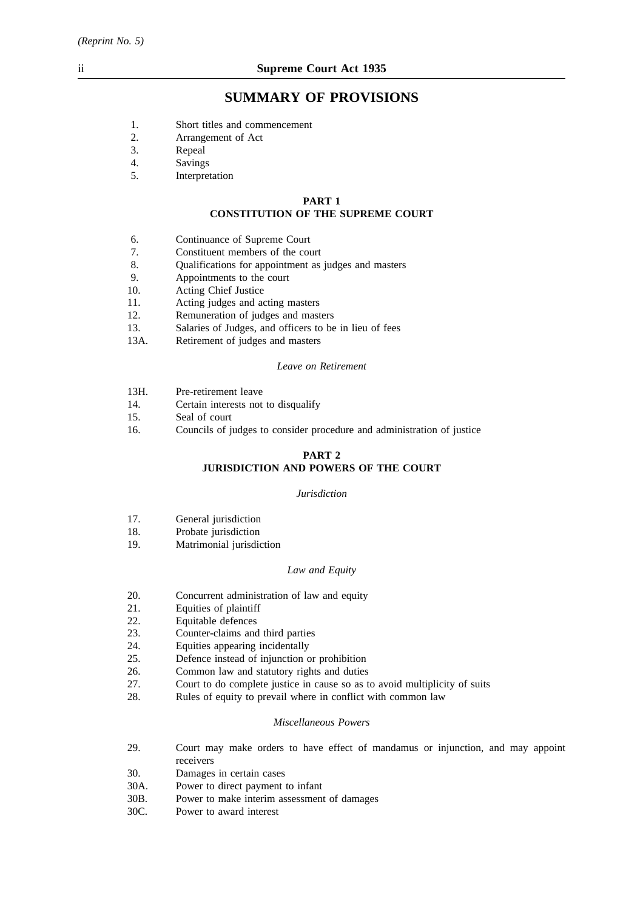# **SUMMARY OF PROVISIONS**

- 1. Short titles and commencement
- 2. Arrangement of Act<br>3. Repeal
- 3. Repeal
- 4. Savings
- 5. Interpretation

#### **PART 1**

# **CONSTITUTION OF THE SUPREME COURT**

- 6. Continuance of Supreme Court
- 7. Constituent members of the court
- 8. Qualifications for appointment as judges and masters
- 9. Appointments to the court<br>10. Acting Chief Justice
- Acting Chief Justice
- 11. Acting judges and acting masters
- 12. Remuneration of judges and masters
- 13. Salaries of Judges, and officers to be in lieu of fees
- 13A. Retirement of judges and masters

#### *Leave on Retirement*

- 13H. Pre-retirement leave
- 14. Certain interests not to disqualify
- 15. Seal of court
- 16. Councils of judges to consider procedure and administration of justice

# **PART 2**

# **JURISDICTION AND POWERS OF THE COURT**

#### *Jurisdiction*

- 17. General jurisdiction
- 18. Probate jurisdiction
- 19. Matrimonial jurisdiction

#### *Law and Equity*

- 20. Concurrent administration of law and equity
- 21. Equities of plaintiff
- 22. Equitable defences
- 23. Counter-claims and third parties
- 24. Equities appearing incidentally
- 25. Defence instead of injunction or prohibition
- 26. Common law and statutory rights and duties 27. Court to do complete justice in cause so as to
- Court to do complete justice in cause so as to avoid multiplicity of suits
- 28. Rules of equity to prevail where in conflict with common law

#### *Miscellaneous Powers*

- 29. Court may make orders to have effect of mandamus or injunction, and may appoint receivers
- 30. Damages in certain cases
- 30A. Power to direct payment to infant
- 30B. Power to make interim assessment of damages
- 30C. Power to award interest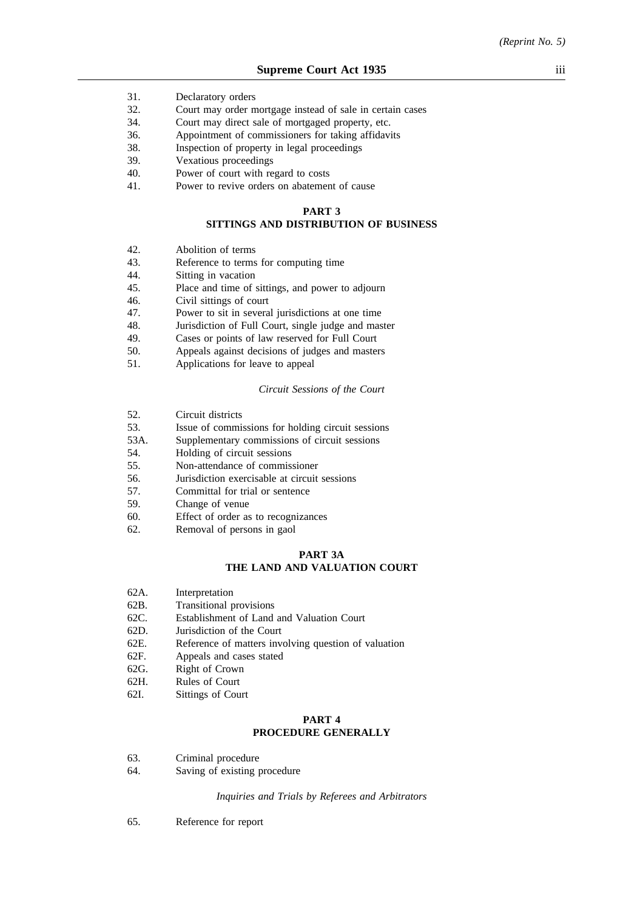- 31. Declaratory orders
- 32. Court may order mortgage instead of sale in certain cases
- 34. Court may direct sale of mortgaged property, etc.
- 36. Appointment of commissioners for taking affidavits
- 38. Inspection of property in legal proceedings
- 39. Vexatious proceedings
- 40. Power of court with regard to costs
- 41. Power to revive orders on abatement of cause

#### **PART 3**

# **SITTINGS AND DISTRIBUTION OF BUSINESS**

- 42. Abolition of terms
- 43. Reference to terms for computing time
- 44. Sitting in vacation
- 45. Place and time of sittings, and power to adjourn
- 46. Civil sittings of court
- 47. Power to sit in several jurisdictions at one time
- 48. Jurisdiction of Full Court, single judge and master 49. Cases or points of law reserved for Full Court
- Cases or points of law reserved for Full Court
- 50. Appeals against decisions of judges and masters
- 51. Applications for leave to appeal

#### *Circuit Sessions of the Court*

- 52. Circuit districts
- 53. Issue of commissions for holding circuit sessions
- 53A. Supplementary commissions of circuit sessions
- 54. Holding of circuit sessions
- 55. Non-attendance of commissioner
- 56. Jurisdiction exercisable at circuit sessions
- 57. Committal for trial or sentence
- 59. Change of venue
- 60. Effect of order as to recognizances
- 62. Removal of persons in gaol

## **PART 3A THE LAND AND VALUATION COURT**

- 62A. Interpretation
- 62B. Transitional provisions
- 62C. Establishment of Land and Valuation Court
- 62D. Jurisdiction of the Court
- 62E. Reference of matters involving question of valuation
- 62F. Appeals and cases stated
- 62G. Right of Crown
- 62H. Rules of Court
- 62I. Sittings of Court

# **PART 4 PROCEDURE GENERALLY**

- 63. Criminal procedure
- 64. Saving of existing procedure

*Inquiries and Trials by Referees and Arbitrators*

65. Reference for report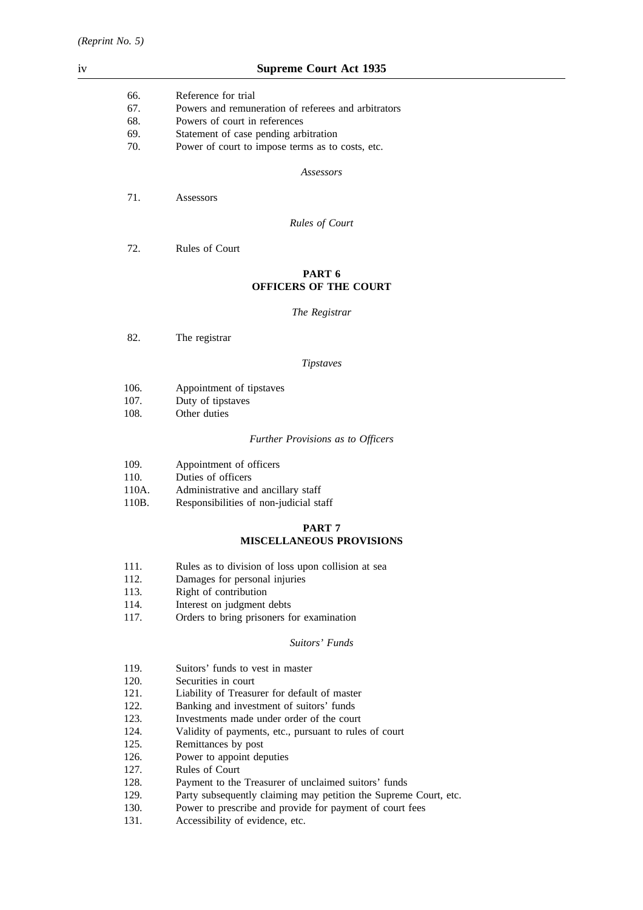| iv |       | <b>Supreme Court Act 1935</b>                       |  |
|----|-------|-----------------------------------------------------|--|
|    | 66.   | Reference for trial                                 |  |
|    | 67.   | Powers and remuneration of referees and arbitrators |  |
|    | 68.   | Powers of court in references                       |  |
|    | 69.   | Statement of case pending arbitration               |  |
|    | 70.   | Power of court to impose terms as to costs, etc.    |  |
|    |       | Assessors                                           |  |
|    | 71.   | Assessors                                           |  |
|    |       | <b>Rules of Court</b>                               |  |
|    | 72.   | Rules of Court                                      |  |
|    |       | PART 6<br><b>OFFICERS OF THE COURT</b>              |  |
|    |       | The Registrar                                       |  |
|    | 82.   | The registrar                                       |  |
|    |       | <b>Tipstaves</b>                                    |  |
|    | 106.  | Appointment of tipstaves                            |  |
|    | 107.  | Duty of tipstaves                                   |  |
|    | 108.  | Other duties                                        |  |
|    |       | Further Provisions as to Officers                   |  |
|    | 109.  | Appointment of officers                             |  |
|    | 110.  | Duties of officers                                  |  |
|    | 110A. | Administrative and ancillary staff                  |  |
|    | 110B. | Responsibilities of non-judicial staff              |  |

# **PART 7 MISCELLANEOUS PROVISIONS**

- 111. Rules as to division of loss upon collision at sea
- 112. Damages for personal injuries
- 113. Right of contribution
- 114. Interest on judgment debts
- 117. Orders to bring prisoners for examination

# *Suitors' Funds*

- 119. Suitors' funds to vest in master
- 120. Securities in court
- 121. Liability of Treasurer for default of master
- 122. Banking and investment of suitors' funds
- 123. Investments made under order of the court
- 124. Validity of payments, etc., pursuant to rules of court 125. Remittances by post
- Remittances by post
- 126. Power to appoint deputies
- 127. Rules of Court
- 128. Payment to the Treasurer of unclaimed suitors' funds
- 129. Party subsequently claiming may petition the Supreme Court, etc.
- 130. Power to prescribe and provide for payment of court fees
- 131. Accessibility of evidence, etc.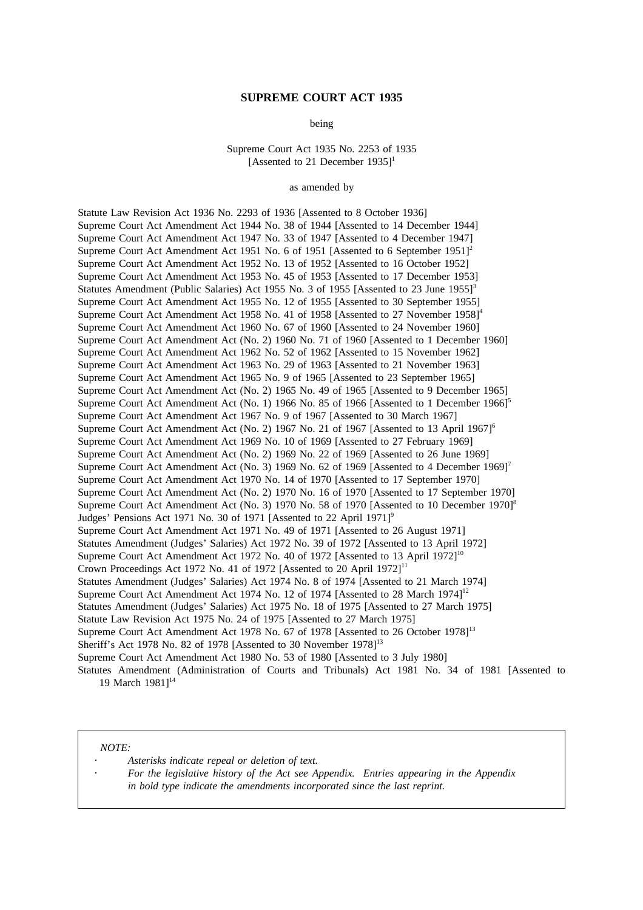## **SUPREME COURT ACT 1935**

being

Supreme Court Act 1935 No. 2253 of 1935 [Assented to 21 December 1935]<sup>1</sup>

as amended by

Statute Law Revision Act 1936 No. 2293 of 1936 [Assented to 8 October 1936] Supreme Court Act Amendment Act 1944 No. 38 of 1944 [Assented to 14 December 1944] Supreme Court Act Amendment Act 1947 No. 33 of 1947 [Assented to 4 December 1947] Supreme Court Act Amendment Act 1951 No. 6 of 1951 [Assented to 6 September 1951]<sup>2</sup> Supreme Court Act Amendment Act 1952 No. 13 of 1952 [Assented to 16 October 1952] Supreme Court Act Amendment Act 1953 No. 45 of 1953 [Assented to 17 December 1953] Statutes Amendment (Public Salaries) Act 1955 No. 3 of 1955 [Assented to 23 June 1955]<sup>3</sup> Supreme Court Act Amendment Act 1955 No. 12 of 1955 [Assented to 30 September 1955] Supreme Court Act Amendment Act 1958 No. 41 of 1958 [Assented to 27 November 1958]<sup>4</sup> Supreme Court Act Amendment Act 1960 No. 67 of 1960 [Assented to 24 November 1960] Supreme Court Act Amendment Act (No. 2) 1960 No. 71 of 1960 [Assented to 1 December 1960] Supreme Court Act Amendment Act 1962 No. 52 of 1962 [Assented to 15 November 1962] Supreme Court Act Amendment Act 1963 No. 29 of 1963 [Assented to 21 November 1963] Supreme Court Act Amendment Act 1965 No. 9 of 1965 [Assented to 23 September 1965] Supreme Court Act Amendment Act (No. 2) 1965 No. 49 of 1965 [Assented to 9 December 1965] Supreme Court Act Amendment Act (No. 1) 1966 No. 85 of 1966 [Assented to 1 December 1966]<sup>5</sup> Supreme Court Act Amendment Act 1967 No. 9 of 1967 [Assented to 30 March 1967] Supreme Court Act Amendment Act (No. 2) 1967 No. 21 of 1967 [Assented to 13 April 1967]<sup>6</sup> Supreme Court Act Amendment Act 1969 No. 10 of 1969 [Assented to 27 February 1969] Supreme Court Act Amendment Act (No. 2) 1969 No. 22 of 1969 [Assented to 26 June 1969] Supreme Court Act Amendment Act (No. 3) 1969 No. 62 of 1969 [Assented to 4 December 1969]<sup>7</sup> Supreme Court Act Amendment Act 1970 No. 14 of 1970 [Assented to 17 September 1970] Supreme Court Act Amendment Act (No. 2) 1970 No. 16 of 1970 [Assented to 17 September 1970] Supreme Court Act Amendment Act (No. 3) 1970 No. 58 of 1970 [Assented to 10 December 1970]<sup>8</sup> Judges' Pensions Act 1971 No. 30 of 1971 [Assented to 22 April 1971] $^9$ Supreme Court Act Amendment Act 1971 No. 49 of 1971 [Assented to 26 August 1971] Statutes Amendment (Judges' Salaries) Act 1972 No. 39 of 1972 [Assented to 13 April 1972] Supreme Court Act Amendment Act 1972 No. 40 of 1972 [Assented to 13 April 1972]<sup>10</sup> Crown Proceedings Act 1972 No. 41 of 1972 [Assented to 20 April  $1972$ ]<sup>11</sup> Statutes Amendment (Judges' Salaries) Act 1974 No. 8 of 1974 [Assented to 21 March 1974] Supreme Court Act Amendment Act 1974 No. 12 of 1974 [Assented to 28 March 1974]<sup>12</sup> Statutes Amendment (Judges' Salaries) Act 1975 No. 18 of 1975 [Assented to 27 March 1975] Statute Law Revision Act 1975 No. 24 of 1975 [Assented to 27 March 1975] Supreme Court Act Amendment Act 1978 No. 67 of 1978 [Assented to 26 October 1978]<sup>13</sup> Sheriff's Act 1978 No. 82 of 1978 [Assented to 30 November 1978]<sup>13</sup> Supreme Court Act Amendment Act 1980 No. 53 of 1980 [Assented to 3 July 1980] Statutes Amendment (Administration of Courts and Tribunals) Act 1981 No. 34 of 1981 [Assented to 19 March 1981]<sup>14</sup>

*NOTE:*

*Asterisks indicate repeal or deletion of text.*

*For the legislative history of the Act see Appendix. Entries appearing in the Appendix in bold type indicate the amendments incorporated since the last reprint.*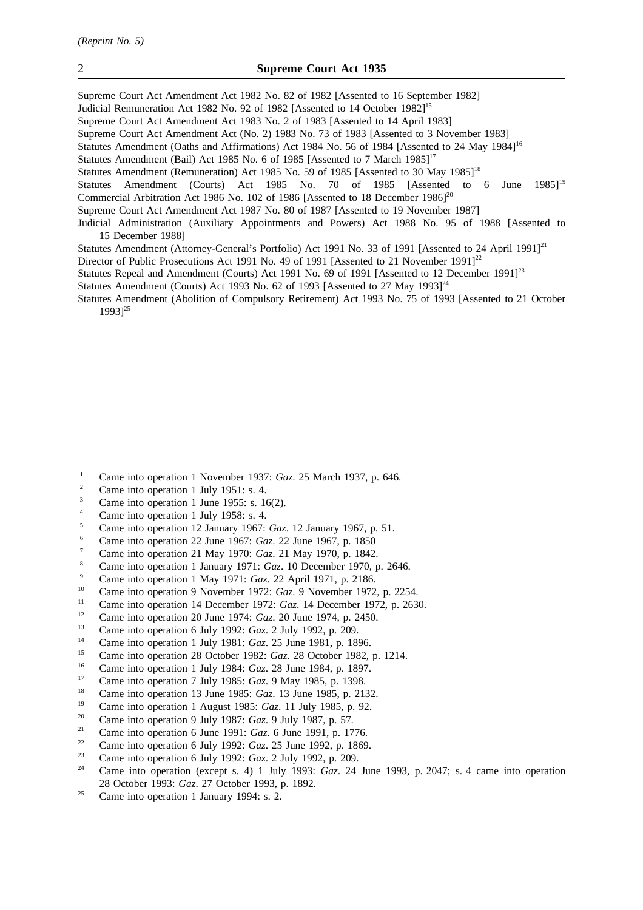Supreme Court Act Amendment Act 1982 No. 82 of 1982 [Assented to 16 September 1982] Judicial Remuneration Act 1982 No. 92 of 1982 [Assented to 14 October 1982]15 Supreme Court Act Amendment Act 1983 No. 2 of 1983 [Assented to 14 April 1983] Supreme Court Act Amendment Act (No. 2) 1983 No. 73 of 1983 [Assented to 3 November 1983] Statutes Amendment (Oaths and Affirmations) Act 1984 No. 56 of 1984 [Assented to 24 May 1984]<sup>16</sup> Statutes Amendment (Bail) Act 1985 No. 6 of 1985 [Assented to 7 March 1985]<sup>17</sup> Statutes Amendment (Remuneration) Act 1985 No. 59 of 1985 [Assented to 30 May 1985]<sup>18</sup> Statutes Amendment (Courts) Act 1985 No. 70 of 1985 [Assented to 6 June 1985]<sup>19</sup> Commercial Arbitration Act 1986 No. 102 of 1986 [Assented to 18 December 1986] $^{20}$ Supreme Court Act Amendment Act 1987 No. 80 of 1987 [Assented to 19 November 1987] Judicial Administration (Auxiliary Appointments and Powers) Act 1988 No. 95 of 1988 [Assented to 15 December 1988] Statutes Amendment (Attorney-General's Portfolio) Act 1991 No. 33 of 1991 [Assented to 24 April 1991]<sup>21</sup>

Director of Public Prosecutions Act 1991 No. 49 of 1991 [Assented to 21 November 1991]<sup>22</sup>

Statutes Repeal and Amendment (Courts) Act 1991 No. 69 of 1991 [Assented to 12 December 1991]<sup>23</sup>

Statutes Amendment (Courts) Act 1993 No. 62 of 1993 [Assented to 27 May 1993] $^{24}$ 

Statutes Amendment (Abolition of Compulsory Retirement) Act 1993 No. 75 of 1993 [Assented to 21 October 1993<sup>25</sup>

- <sup>1</sup> Came into operation 1 November 1937: *Gaz*. 25 March 1937, p. 646.
- $\frac{2}{3}$  Came into operation 1 July 1951: s. 4.
- $\frac{3}{4}$  Came into operation 1 June 1955: s. 16(2).
- <sup>4</sup> Came into operation 1 July 1958: s. 4.<br>  $\frac{5}{2}$  Come into operation 12 January 1967.
- <sup>5</sup> Came into operation 12 January 1967: *Gaz*. 12 January 1967, p. 51.
- <sup>6</sup> Came into operation 22 June 1967: *Gaz*. 22 June 1967, p. 1850
- <sup>7</sup> Came into operation 21 May 1970: *Gaz*. 21 May 1970, p. 1842.
- <sup>8</sup> Came into operation 1 January 1971: *Gaz*. 10 December 1970, p. 2646.
- <sup>9</sup> Came into operation 1 May 1971: *Gaz*. 22 April 1971, p. 2186.
- <sup>10</sup> Came into operation 9 November 1972: *Gaz*. 9 November 1972, p. 2254.
- <sup>11</sup> Came into operation 14 December 1972: *Gaz*. 14 December 1972, p. 2630.
- <sup>12</sup> Came into operation 20 June 1974: *Gaz.* 20 June 1974, p. 2450.<br><sup>13</sup> Came into operation 6 July 1993: *Ggz*. 2 July 1992, p. 209
- <sup>13</sup> Came into operation 6 July 1992: *Gaz*. 2 July 1992, p. 209.
- <sup>14</sup> Came into operation 1 July 1981: *Gaz*. 25 June 1981, p. 1896.
- <sup>15</sup> Came into operation 28 October 1982: *Gaz*. 28 October 1982, p. 1214.
- <sup>16</sup> Came into operation 1 July 1984: *Gaz*. 28 June 1984, p. 1897.<br><sup>17</sup> Came into operation 7 July 1985: *Gaz*. 9 May 1985, p. 1398.
- <sup>17</sup> Came into operation 7 July 1985: *Gaz*. 9 May 1985, p. 1398.<br><sup>18</sup> Came into operation <sup>12</sup> June 1985: *Gaz*. 12 June 1985, p. 21<sup>2</sup>
- <sup>18</sup> Came into operation 13 June 1985: *Gaz*. 13 June 1985, p. 2132.<br><sup>19</sup> Came into operation 1 August 1985: *Gaz*. 11 July 1985, p. 92.
- <sup>19</sup> Came into operation 1 August 1985: *Gaz*. 11 July 1985, p. 92.
- <sup>20</sup> Came into operation 9 July 1987: *Gaz*. 9 July 1987, p. 57.
- <sup>21</sup> Came into operation 6 June 1991: *Gaz.* 6 June 1991, p. 1776.
- <sup>22</sup> Came into operation 6 July 1992: *Gaz*. 25 June 1992, p. 1869.
- <sup>23</sup> Came into operation 6 July 1992: *Gaz*. 2 July 1992, p. 209.
- <sup>24</sup> Came into operation (except s. 4) 1 July 1993: *Gaz*. 24 June 1993, p. 2047; s. 4 came into operation 28 October 1993: *Gaz*. 27 October 1993, p. 1892.
- <sup>25</sup> Came into operation 1 January 1994: s. 2.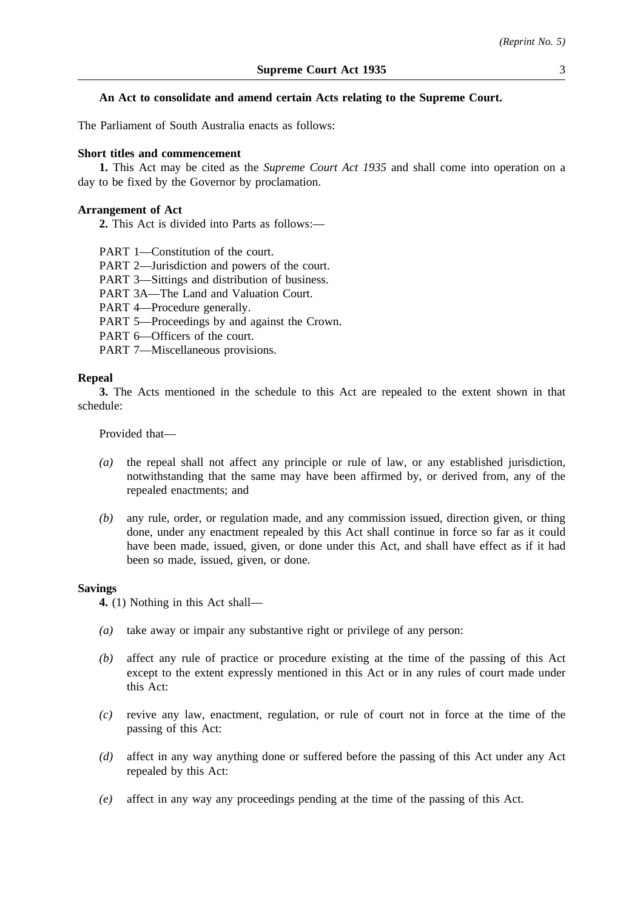The Parliament of South Australia enacts as follows:

# **Short titles and commencement**

**1.** This Act may be cited as the *Supreme Court Act 1935* and shall come into operation on a day to be fixed by the Governor by proclamation.

# **Arrangement of Act**

**2.** This Act is divided into Parts as follows:—

PART 1—Constitution of the court.

PART 2—Jurisdiction and powers of the court.

PART 3—Sittings and distribution of business.

PART 3A—The Land and Valuation Court.

PART 4—Procedure generally.

PART 5—Proceedings by and against the Crown.

PART 6—Officers of the court.

PART 7—Miscellaneous provisions.

#### **Repeal**

**3.** The Acts mentioned in the schedule to this Act are repealed to the extent shown in that schedule:

Provided that—

- *(a)* the repeal shall not affect any principle or rule of law, or any established jurisdiction, notwithstanding that the same may have been affirmed by, or derived from, any of the repealed enactments; and
- *(b)* any rule, order, or regulation made, and any commission issued, direction given, or thing done, under any enactment repealed by this Act shall continue in force so far as it could have been made, issued, given, or done under this Act, and shall have effect as if it had been so made, issued, given, or done.

#### **Savings**

**4.** (1) Nothing in this Act shall—

- *(a)* take away or impair any substantive right or privilege of any person:
- *(b)* affect any rule of practice or procedure existing at the time of the passing of this Act except to the extent expressly mentioned in this Act or in any rules of court made under this Act:
- *(c)* revive any law, enactment, regulation, or rule of court not in force at the time of the passing of this Act:
- *(d)* affect in any way anything done or suffered before the passing of this Act under any Act repealed by this Act:
- *(e)* affect in any way any proceedings pending at the time of the passing of this Act.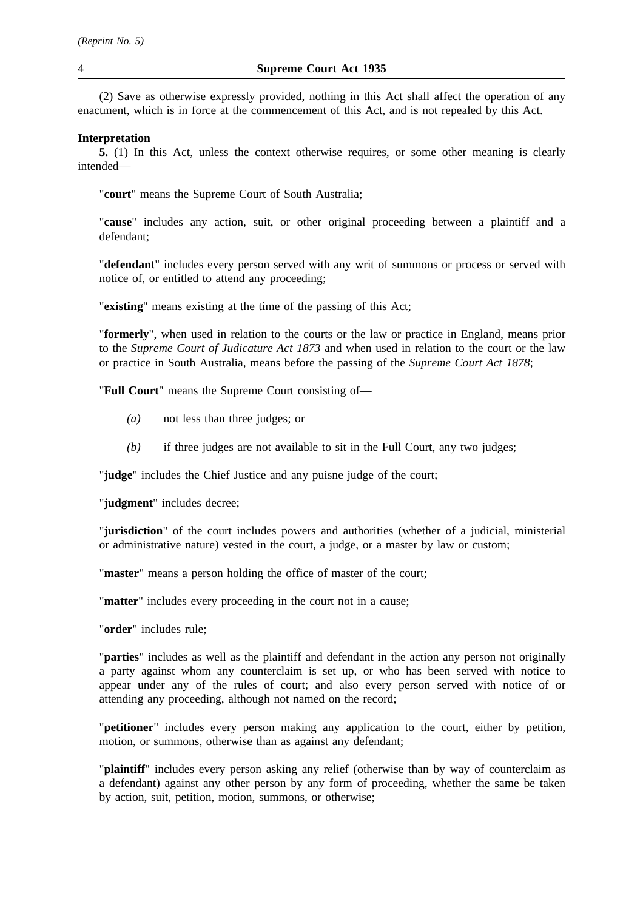(2) Save as otherwise expressly provided, nothing in this Act shall affect the operation of any enactment, which is in force at the commencement of this Act, and is not repealed by this Act.

# **Interpretation**

**5.** (1) In this Act, unless the context otherwise requires, or some other meaning is clearly intended—

"**court**" means the Supreme Court of South Australia;

"**cause**" includes any action, suit, or other original proceeding between a plaintiff and a defendant;

"**defendant**" includes every person served with any writ of summons or process or served with notice of, or entitled to attend any proceeding;

"**existing**" means existing at the time of the passing of this Act;

"**formerly**", when used in relation to the courts or the law or practice in England, means prior to the *Supreme Court of Judicature Act 1873* and when used in relation to the court or the law or practice in South Australia, means before the passing of the *Supreme Court Act 1878*;

"**Full Court**" means the Supreme Court consisting of—

- *(a)* not less than three judges; or
- *(b)* if three judges are not available to sit in the Full Court, any two judges;

"**judge**" includes the Chief Justice and any puisne judge of the court;

"**judgment**" includes decree;

"**jurisdiction**" of the court includes powers and authorities (whether of a judicial, ministerial or administrative nature) vested in the court, a judge, or a master by law or custom;

"**master**" means a person holding the office of master of the court;

"**matter**" includes every proceeding in the court not in a cause;

"**order**" includes rule;

"**parties**" includes as well as the plaintiff and defendant in the action any person not originally a party against whom any counterclaim is set up, or who has been served with notice to appear under any of the rules of court; and also every person served with notice of or attending any proceeding, although not named on the record;

"**petitioner**" includes every person making any application to the court, either by petition, motion, or summons, otherwise than as against any defendant;

"**plaintiff**" includes every person asking any relief (otherwise than by way of counterclaim as a defendant) against any other person by any form of proceeding, whether the same be taken by action, suit, petition, motion, summons, or otherwise;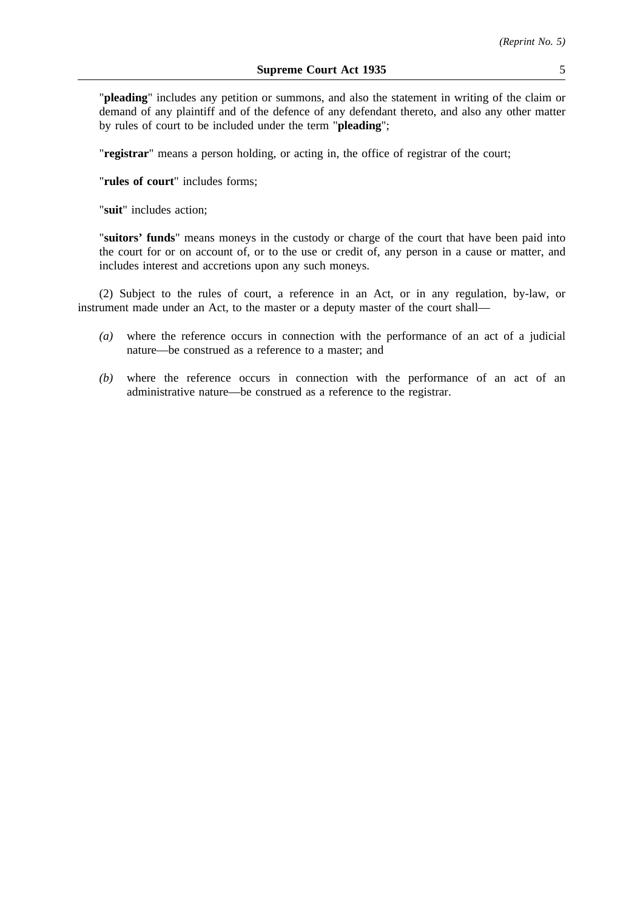"**pleading**" includes any petition or summons, and also the statement in writing of the claim or demand of any plaintiff and of the defence of any defendant thereto, and also any other matter by rules of court to be included under the term "**pleading**";

"**registrar**" means a person holding, or acting in, the office of registrar of the court;

"**rules of court**" includes forms;

"**suit**" includes action;

"**suitors' funds**" means moneys in the custody or charge of the court that have been paid into the court for or on account of, or to the use or credit of, any person in a cause or matter, and includes interest and accretions upon any such moneys.

(2) Subject to the rules of court, a reference in an Act, or in any regulation, by-law, or instrument made under an Act, to the master or a deputy master of the court shall—

- *(a)* where the reference occurs in connection with the performance of an act of a judicial nature—be construed as a reference to a master; and
- *(b)* where the reference occurs in connection with the performance of an act of an administrative nature—be construed as a reference to the registrar.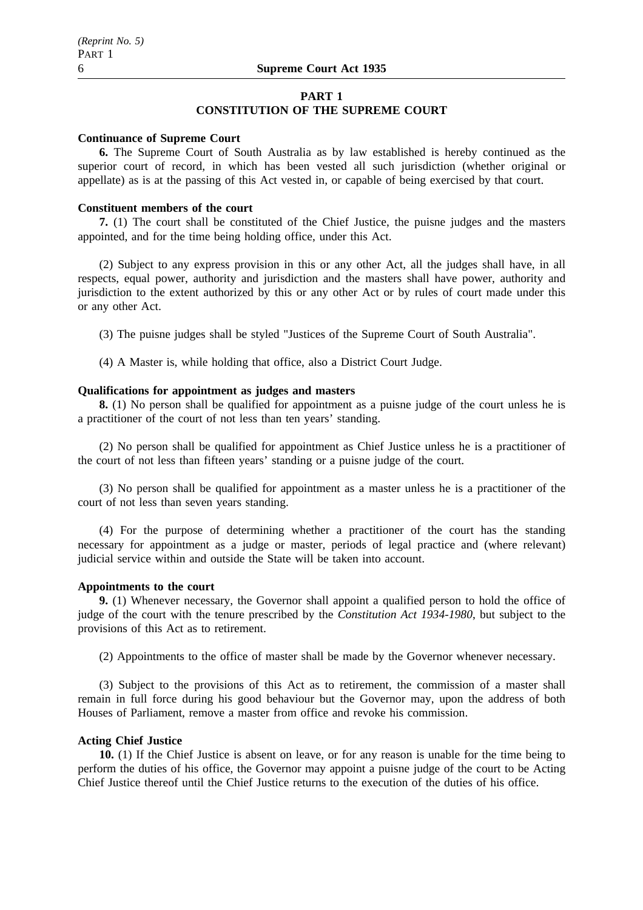#### **PART 1**

# **CONSTITUTION OF THE SUPREME COURT**

#### **Continuance of Supreme Court**

**6.** The Supreme Court of South Australia as by law established is hereby continued as the superior court of record, in which has been vested all such jurisdiction (whether original or appellate) as is at the passing of this Act vested in, or capable of being exercised by that court.

#### **Constituent members of the court**

**7.** (1) The court shall be constituted of the Chief Justice, the puisne judges and the masters appointed, and for the time being holding office, under this Act.

(2) Subject to any express provision in this or any other Act, all the judges shall have, in all respects, equal power, authority and jurisdiction and the masters shall have power, authority and jurisdiction to the extent authorized by this or any other Act or by rules of court made under this or any other Act.

(3) The puisne judges shall be styled "Justices of the Supreme Court of South Australia".

(4) A Master is, while holding that office, also a District Court Judge.

#### **Qualifications for appointment as judges and masters**

**8.** (1) No person shall be qualified for appointment as a puisne judge of the court unless he is a practitioner of the court of not less than ten years' standing.

(2) No person shall be qualified for appointment as Chief Justice unless he is a practitioner of the court of not less than fifteen years' standing or a puisne judge of the court.

(3) No person shall be qualified for appointment as a master unless he is a practitioner of the court of not less than seven years standing.

(4) For the purpose of determining whether a practitioner of the court has the standing necessary for appointment as a judge or master, periods of legal practice and (where relevant) judicial service within and outside the State will be taken into account.

# **Appointments to the court**

**9.** (1) Whenever necessary, the Governor shall appoint a qualified person to hold the office of judge of the court with the tenure prescribed by the *Constitution Act 1934-1980*, but subject to the provisions of this Act as to retirement.

(2) Appointments to the office of master shall be made by the Governor whenever necessary.

(3) Subject to the provisions of this Act as to retirement, the commission of a master shall remain in full force during his good behaviour but the Governor may, upon the address of both Houses of Parliament, remove a master from office and revoke his commission.

# **Acting Chief Justice**

**10.** (1) If the Chief Justice is absent on leave, or for any reason is unable for the time being to perform the duties of his office, the Governor may appoint a puisne judge of the court to be Acting Chief Justice thereof until the Chief Justice returns to the execution of the duties of his office.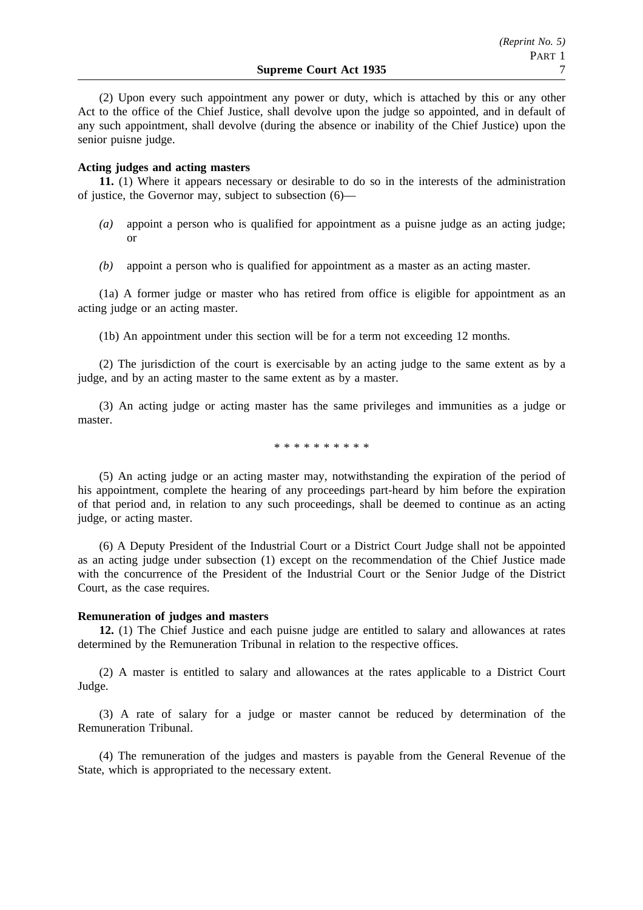(2) Upon every such appointment any power or duty, which is attached by this or any other Act to the office of the Chief Justice, shall devolve upon the judge so appointed, and in default of any such appointment, shall devolve (during the absence or inability of the Chief Justice) upon the senior puisne judge.

# **Acting judges and acting masters**

**11.** (1) Where it appears necessary or desirable to do so in the interests of the administration of justice, the Governor may, subject to subsection (6)—

- $(a)$  appoint a person who is qualified for appointment as a puisne judge as an acting judge; or
- *(b)* appoint a person who is qualified for appointment as a master as an acting master.

(1a) A former judge or master who has retired from office is eligible for appointment as an acting judge or an acting master.

(1b) An appointment under this section will be for a term not exceeding 12 months.

(2) The jurisdiction of the court is exercisable by an acting judge to the same extent as by a judge, and by an acting master to the same extent as by a master.

(3) An acting judge or acting master has the same privileges and immunities as a judge or master.

\*\*\*\*\*\*\*\*\*\*

(5) An acting judge or an acting master may, notwithstanding the expiration of the period of his appointment, complete the hearing of any proceedings part-heard by him before the expiration of that period and, in relation to any such proceedings, shall be deemed to continue as an acting judge, or acting master.

(6) A Deputy President of the Industrial Court or a District Court Judge shall not be appointed as an acting judge under subsection (1) except on the recommendation of the Chief Justice made with the concurrence of the President of the Industrial Court or the Senior Judge of the District Court, as the case requires.

#### **Remuneration of judges and masters**

**12.** (1) The Chief Justice and each puisne judge are entitled to salary and allowances at rates determined by the Remuneration Tribunal in relation to the respective offices.

(2) A master is entitled to salary and allowances at the rates applicable to a District Court Judge.

(3) A rate of salary for a judge or master cannot be reduced by determination of the Remuneration Tribunal.

(4) The remuneration of the judges and masters is payable from the General Revenue of the State, which is appropriated to the necessary extent.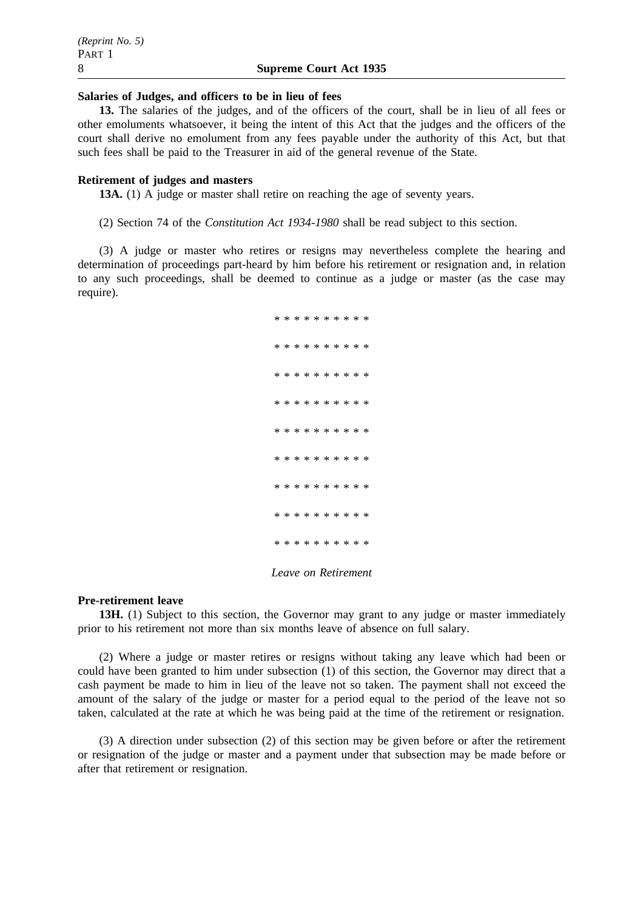#### **Salaries of Judges, and officers to be in lieu of fees**

**13.** The salaries of the judges, and of the officers of the court, shall be in lieu of all fees or other emoluments whatsoever, it being the intent of this Act that the judges and the officers of the court shall derive no emolument from any fees payable under the authority of this Act, but that such fees shall be paid to the Treasurer in aid of the general revenue of the State.

#### **Retirement of judges and masters**

**13A.** (1) A judge or master shall retire on reaching the age of seventy years.

(2) Section 74 of the *Constitution Act 1934-1980* shall be read subject to this section.

(3) A judge or master who retires or resigns may nevertheless complete the hearing and determination of proceedings part-heard by him before his retirement or resignation and, in relation to any such proceedings, shall be deemed to continue as a judge or master (as the case may require).

> \*\*\*\*\*\*\*\*\*\* \*\*\*\*\*\*\*\*\*\* \*\*\*\*\*\*\*\*\*\* \*\*\*\*\*\*\*\*\*\* \*\*\*\*\*\*\*\*\*\* \*\*\*\*\*\*\*\*\*\* \*\*\*\*\*\*\*\*\*\* \*\*\*\*\*\*\*\*\*\*\*\*\* \*\*\*\*\*\*\*\*\*\*

# *Leave on Retirement*

#### **Pre-retirement leave**

**13H.** (1) Subject to this section, the Governor may grant to any judge or master immediately prior to his retirement not more than six months leave of absence on full salary.

(2) Where a judge or master retires or resigns without taking any leave which had been or could have been granted to him under subsection (1) of this section, the Governor may direct that a cash payment be made to him in lieu of the leave not so taken. The payment shall not exceed the amount of the salary of the judge or master for a period equal to the period of the leave not so taken, calculated at the rate at which he was being paid at the time of the retirement or resignation.

(3) A direction under subsection (2) of this section may be given before or after the retirement or resignation of the judge or master and a payment under that subsection may be made before or after that retirement or resignation.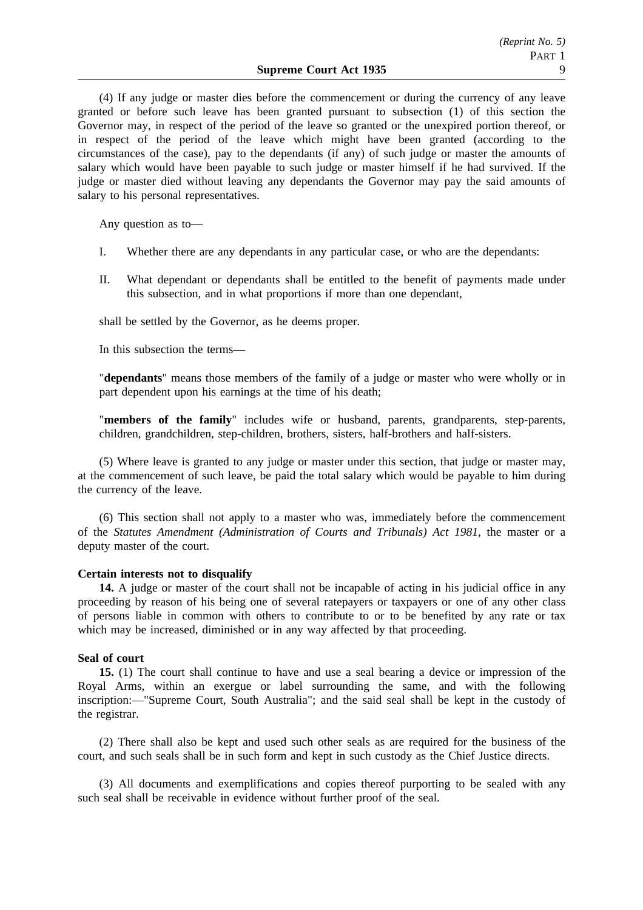(4) If any judge or master dies before the commencement or during the currency of any leave granted or before such leave has been granted pursuant to subsection (1) of this section the Governor may, in respect of the period of the leave so granted or the unexpired portion thereof, or in respect of the period of the leave which might have been granted (according to the circumstances of the case), pay to the dependants (if any) of such judge or master the amounts of salary which would have been payable to such judge or master himself if he had survived. If the judge or master died without leaving any dependants the Governor may pay the said amounts of salary to his personal representatives.

Any question as to—

- I. Whether there are any dependants in any particular case, or who are the dependants:
- II. What dependant or dependants shall be entitled to the benefit of payments made under this subsection, and in what proportions if more than one dependant,

shall be settled by the Governor, as he deems proper.

In this subsection the terms—

"**dependants**" means those members of the family of a judge or master who were wholly or in part dependent upon his earnings at the time of his death;

"**members of the family**" includes wife or husband, parents, grandparents, step-parents, children, grandchildren, step-children, brothers, sisters, half-brothers and half-sisters.

(5) Where leave is granted to any judge or master under this section, that judge or master may, at the commencement of such leave, be paid the total salary which would be payable to him during the currency of the leave.

(6) This section shall not apply to a master who was, immediately before the commencement of the *Statutes Amendment (Administration of Courts and Tribunals) Act 1981*, the master or a deputy master of the court.

# **Certain interests not to disqualify**

**14.** A judge or master of the court shall not be incapable of acting in his judicial office in any proceeding by reason of his being one of several ratepayers or taxpayers or one of any other class of persons liable in common with others to contribute to or to be benefited by any rate or tax which may be increased, diminished or in any way affected by that proceeding.

#### **Seal of court**

**15.** (1) The court shall continue to have and use a seal bearing a device or impression of the Royal Arms, within an exergue or label surrounding the same, and with the following inscription:—"Supreme Court, South Australia"; and the said seal shall be kept in the custody of the registrar.

(2) There shall also be kept and used such other seals as are required for the business of the court, and such seals shall be in such form and kept in such custody as the Chief Justice directs.

(3) All documents and exemplifications and copies thereof purporting to be sealed with any such seal shall be receivable in evidence without further proof of the seal.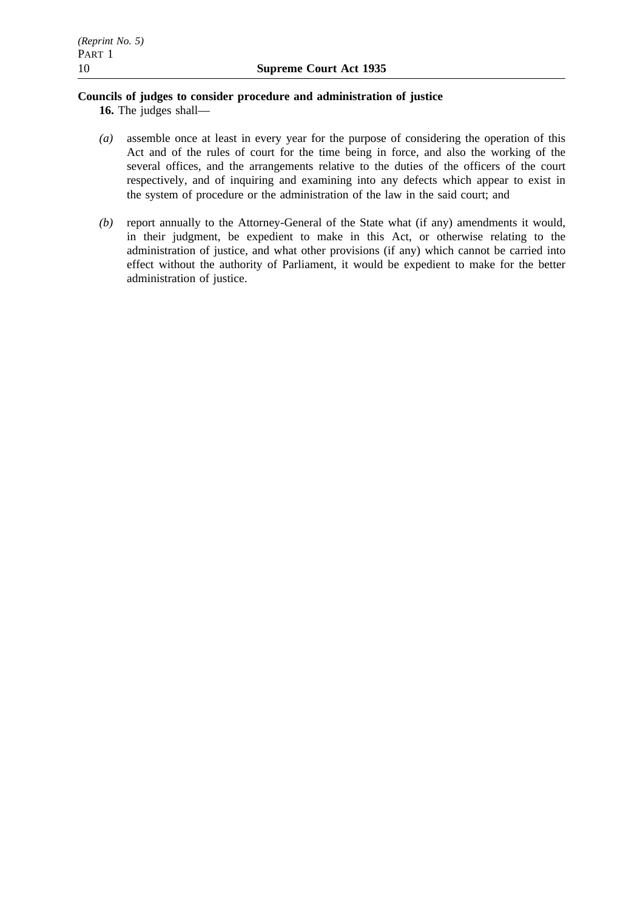# **Councils of judges to consider procedure and administration of justice**

**16.** The judges shall—

- *(a)* assemble once at least in every year for the purpose of considering the operation of this Act and of the rules of court for the time being in force, and also the working of the several offices, and the arrangements relative to the duties of the officers of the court respectively, and of inquiring and examining into any defects which appear to exist in the system of procedure or the administration of the law in the said court; and
- *(b)* report annually to the Attorney-General of the State what (if any) amendments it would, in their judgment, be expedient to make in this Act, or otherwise relating to the administration of justice, and what other provisions (if any) which cannot be carried into effect without the authority of Parliament, it would be expedient to make for the better administration of justice.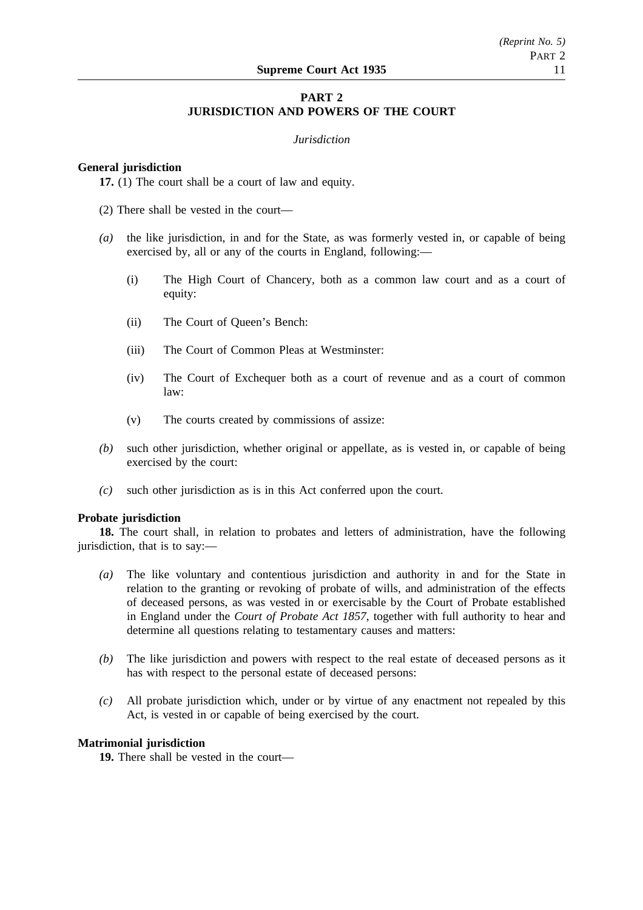# **PART 2 JURISDICTION AND POWERS OF THE COURT**

#### *Jurisdiction*

# **General jurisdiction**

**17.** (1) The court shall be a court of law and equity.

(2) There shall be vested in the court—

- *(a)* the like jurisdiction, in and for the State, as was formerly vested in, or capable of being exercised by, all or any of the courts in England, following:—
	- (i) The High Court of Chancery, both as a common law court and as a court of equity:
	- (ii) The Court of Queen's Bench:
	- (iii) The Court of Common Pleas at Westminster:
	- (iv) The Court of Exchequer both as a court of revenue and as a court of common law:
	- (v) The courts created by commissions of assize:
- *(b)* such other jurisdiction, whether original or appellate, as is vested in, or capable of being exercised by the court:
- *(c)* such other jurisdiction as is in this Act conferred upon the court.

#### **Probate jurisdiction**

**18.** The court shall, in relation to probates and letters of administration, have the following jurisdiction, that is to say:—

- *(a)* The like voluntary and contentious jurisdiction and authority in and for the State in relation to the granting or revoking of probate of wills, and administration of the effects of deceased persons, as was vested in or exercisable by the Court of Probate established in England under the *Court of Probate Act 1857*, together with full authority to hear and determine all questions relating to testamentary causes and matters:
- *(b)* The like jurisdiction and powers with respect to the real estate of deceased persons as it has with respect to the personal estate of deceased persons:
- *(c)* All probate jurisdiction which, under or by virtue of any enactment not repealed by this Act, is vested in or capable of being exercised by the court.

#### **Matrimonial jurisdiction**

**19.** There shall be vested in the court—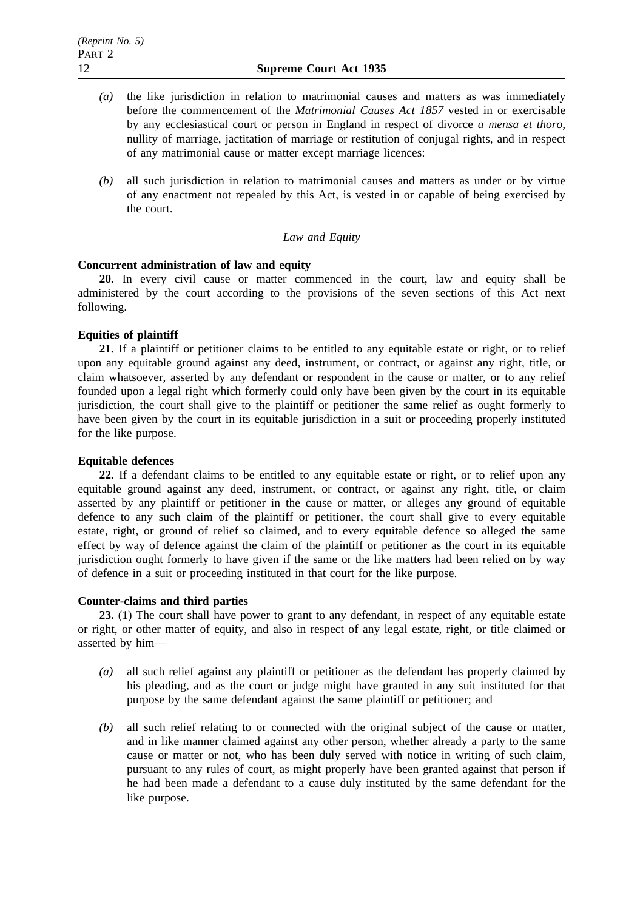- *(a)* the like jurisdiction in relation to matrimonial causes and matters as was immediately before the commencement of the *Matrimonial Causes Act 1857* vested in or exercisable by any ecclesiastical court or person in England in respect of divorce *a mensa et thoro*, nullity of marriage, jactitation of marriage or restitution of conjugal rights, and in respect of any matrimonial cause or matter except marriage licences:
- *(b)* all such jurisdiction in relation to matrimonial causes and matters as under or by virtue of any enactment not repealed by this Act, is vested in or capable of being exercised by the court.

# *Law and Equity*

# **Concurrent administration of law and equity**

**20.** In every civil cause or matter commenced in the court, law and equity shall be administered by the court according to the provisions of the seven sections of this Act next following.

# **Equities of plaintiff**

**21.** If a plaintiff or petitioner claims to be entitled to any equitable estate or right, or to relief upon any equitable ground against any deed, instrument, or contract, or against any right, title, or claim whatsoever, asserted by any defendant or respondent in the cause or matter, or to any relief founded upon a legal right which formerly could only have been given by the court in its equitable jurisdiction, the court shall give to the plaintiff or petitioner the same relief as ought formerly to have been given by the court in its equitable jurisdiction in a suit or proceeding properly instituted for the like purpose.

# **Equitable defences**

**22.** If a defendant claims to be entitled to any equitable estate or right, or to relief upon any equitable ground against any deed, instrument, or contract, or against any right, title, or claim asserted by any plaintiff or petitioner in the cause or matter, or alleges any ground of equitable defence to any such claim of the plaintiff or petitioner, the court shall give to every equitable estate, right, or ground of relief so claimed, and to every equitable defence so alleged the same effect by way of defence against the claim of the plaintiff or petitioner as the court in its equitable jurisdiction ought formerly to have given if the same or the like matters had been relied on by way of defence in a suit or proceeding instituted in that court for the like purpose.

# **Counter-claims and third parties**

**23.** (1) The court shall have power to grant to any defendant, in respect of any equitable estate or right, or other matter of equity, and also in respect of any legal estate, right, or title claimed or asserted by him—

- *(a)* all such relief against any plaintiff or petitioner as the defendant has properly claimed by his pleading, and as the court or judge might have granted in any suit instituted for that purpose by the same defendant against the same plaintiff or petitioner; and
- *(b)* all such relief relating to or connected with the original subject of the cause or matter, and in like manner claimed against any other person, whether already a party to the same cause or matter or not, who has been duly served with notice in writing of such claim, pursuant to any rules of court, as might properly have been granted against that person if he had been made a defendant to a cause duly instituted by the same defendant for the like purpose.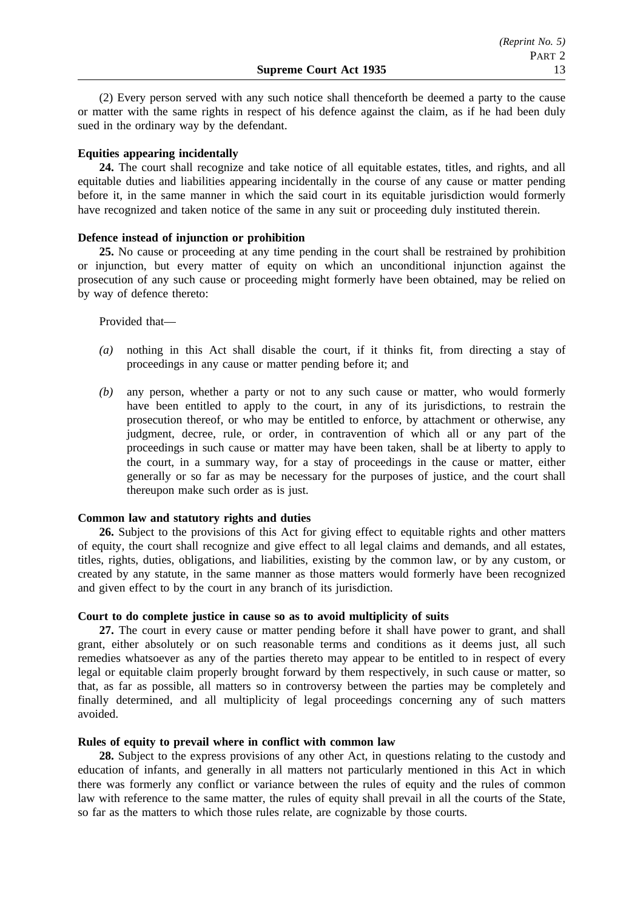(2) Every person served with any such notice shall thenceforth be deemed a party to the cause or matter with the same rights in respect of his defence against the claim, as if he had been duly sued in the ordinary way by the defendant.

# **Equities appearing incidentally**

**24.** The court shall recognize and take notice of all equitable estates, titles, and rights, and all equitable duties and liabilities appearing incidentally in the course of any cause or matter pending before it, in the same manner in which the said court in its equitable jurisdiction would formerly have recognized and taken notice of the same in any suit or proceeding duly instituted therein.

# **Defence instead of injunction or prohibition**

**25.** No cause or proceeding at any time pending in the court shall be restrained by prohibition or injunction, but every matter of equity on which an unconditional injunction against the prosecution of any such cause or proceeding might formerly have been obtained, may be relied on by way of defence thereto:

#### Provided that—

- *(a)* nothing in this Act shall disable the court, if it thinks fit, from directing a stay of proceedings in any cause or matter pending before it; and
- *(b)* any person, whether a party or not to any such cause or matter, who would formerly have been entitled to apply to the court, in any of its jurisdictions, to restrain the prosecution thereof, or who may be entitled to enforce, by attachment or otherwise, any judgment, decree, rule, or order, in contravention of which all or any part of the proceedings in such cause or matter may have been taken, shall be at liberty to apply to the court, in a summary way, for a stay of proceedings in the cause or matter, either generally or so far as may be necessary for the purposes of justice, and the court shall thereupon make such order as is just.

# **Common law and statutory rights and duties**

**26.** Subject to the provisions of this Act for giving effect to equitable rights and other matters of equity, the court shall recognize and give effect to all legal claims and demands, and all estates, titles, rights, duties, obligations, and liabilities, existing by the common law, or by any custom, or created by any statute, in the same manner as those matters would formerly have been recognized and given effect to by the court in any branch of its jurisdiction.

# **Court to do complete justice in cause so as to avoid multiplicity of suits**

**27.** The court in every cause or matter pending before it shall have power to grant, and shall grant, either absolutely or on such reasonable terms and conditions as it deems just, all such remedies whatsoever as any of the parties thereto may appear to be entitled to in respect of every legal or equitable claim properly brought forward by them respectively, in such cause or matter, so that, as far as possible, all matters so in controversy between the parties may be completely and finally determined, and all multiplicity of legal proceedings concerning any of such matters avoided.

# **Rules of equity to prevail where in conflict with common law**

**28.** Subject to the express provisions of any other Act, in questions relating to the custody and education of infants, and generally in all matters not particularly mentioned in this Act in which there was formerly any conflict or variance between the rules of equity and the rules of common law with reference to the same matter, the rules of equity shall prevail in all the courts of the State, so far as the matters to which those rules relate, are cognizable by those courts.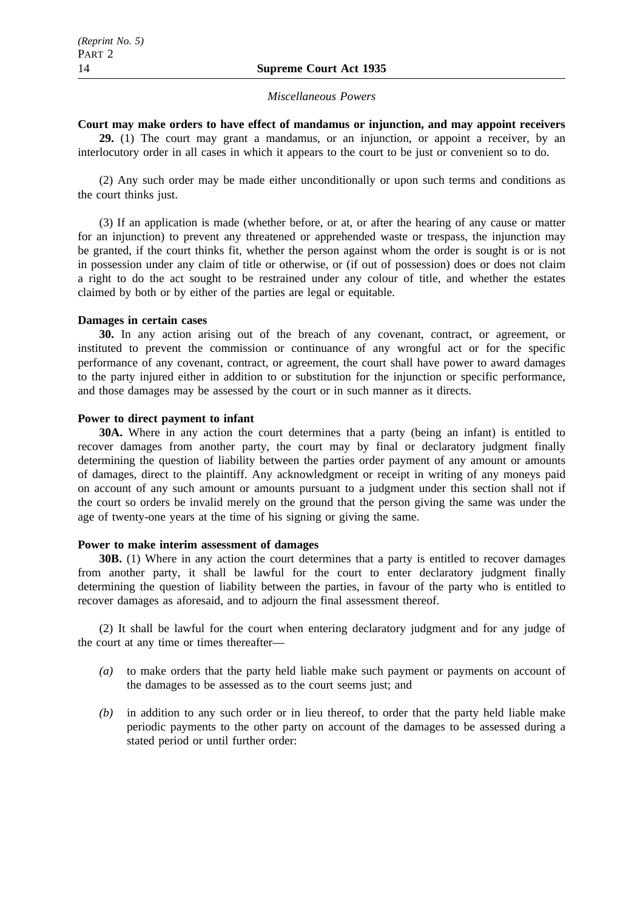#### *Miscellaneous Powers*

# **Court may make orders to have effect of mandamus or injunction, and may appoint receivers**

**29.** (1) The court may grant a mandamus, or an injunction, or appoint a receiver, by an interlocutory order in all cases in which it appears to the court to be just or convenient so to do.

(2) Any such order may be made either unconditionally or upon such terms and conditions as the court thinks just.

(3) If an application is made (whether before, or at, or after the hearing of any cause or matter for an injunction) to prevent any threatened or apprehended waste or trespass, the injunction may be granted, if the court thinks fit, whether the person against whom the order is sought is or is not in possession under any claim of title or otherwise, or (if out of possession) does or does not claim a right to do the act sought to be restrained under any colour of title, and whether the estates claimed by both or by either of the parties are legal or equitable.

# **Damages in certain cases**

**30.** In any action arising out of the breach of any covenant, contract, or agreement, or instituted to prevent the commission or continuance of any wrongful act or for the specific performance of any covenant, contract, or agreement, the court shall have power to award damages to the party injured either in addition to or substitution for the injunction or specific performance, and those damages may be assessed by the court or in such manner as it directs.

#### **Power to direct payment to infant**

**30A.** Where in any action the court determines that a party (being an infant) is entitled to recover damages from another party, the court may by final or declaratory judgment finally determining the question of liability between the parties order payment of any amount or amounts of damages, direct to the plaintiff. Any acknowledgment or receipt in writing of any moneys paid on account of any such amount or amounts pursuant to a judgment under this section shall not if the court so orders be invalid merely on the ground that the person giving the same was under the age of twenty-one years at the time of his signing or giving the same.

#### **Power to make interim assessment of damages**

**30B.** (1) Where in any action the court determines that a party is entitled to recover damages from another party, it shall be lawful for the court to enter declaratory judgment finally determining the question of liability between the parties, in favour of the party who is entitled to recover damages as aforesaid, and to adjourn the final assessment thereof.

(2) It shall be lawful for the court when entering declaratory judgment and for any judge of the court at any time or times thereafter—

- *(a)* to make orders that the party held liable make such payment or payments on account of the damages to be assessed as to the court seems just; and
- *(b)* in addition to any such order or in lieu thereof, to order that the party held liable make periodic payments to the other party on account of the damages to be assessed during a stated period or until further order: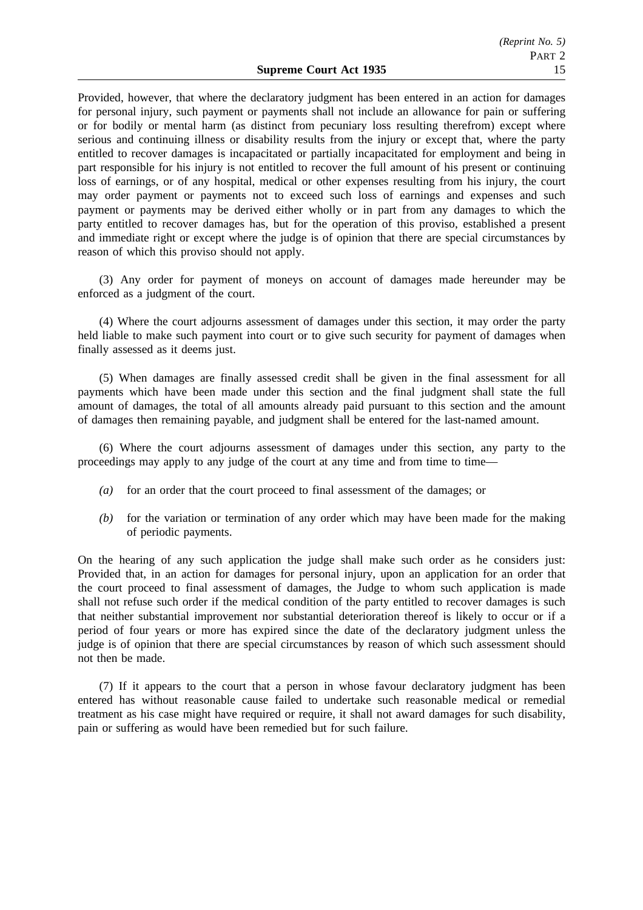Provided, however, that where the declaratory judgment has been entered in an action for damages for personal injury, such payment or payments shall not include an allowance for pain or suffering or for bodily or mental harm (as distinct from pecuniary loss resulting therefrom) except where serious and continuing illness or disability results from the injury or except that, where the party entitled to recover damages is incapacitated or partially incapacitated for employment and being in part responsible for his injury is not entitled to recover the full amount of his present or continuing loss of earnings, or of any hospital, medical or other expenses resulting from his injury, the court may order payment or payments not to exceed such loss of earnings and expenses and such payment or payments may be derived either wholly or in part from any damages to which the party entitled to recover damages has, but for the operation of this proviso, established a present and immediate right or except where the judge is of opinion that there are special circumstances by reason of which this proviso should not apply.

(3) Any order for payment of moneys on account of damages made hereunder may be enforced as a judgment of the court.

(4) Where the court adjourns assessment of damages under this section, it may order the party held liable to make such payment into court or to give such security for payment of damages when finally assessed as it deems just.

(5) When damages are finally assessed credit shall be given in the final assessment for all payments which have been made under this section and the final judgment shall state the full amount of damages, the total of all amounts already paid pursuant to this section and the amount of damages then remaining payable, and judgment shall be entered for the last-named amount.

(6) Where the court adjourns assessment of damages under this section, any party to the proceedings may apply to any judge of the court at any time and from time to time—

- *(a)* for an order that the court proceed to final assessment of the damages; or
- *(b)* for the variation or termination of any order which may have been made for the making of periodic payments.

On the hearing of any such application the judge shall make such order as he considers just: Provided that, in an action for damages for personal injury, upon an application for an order that the court proceed to final assessment of damages, the Judge to whom such application is made shall not refuse such order if the medical condition of the party entitled to recover damages is such that neither substantial improvement nor substantial deterioration thereof is likely to occur or if a period of four years or more has expired since the date of the declaratory judgment unless the judge is of opinion that there are special circumstances by reason of which such assessment should not then be made.

(7) If it appears to the court that a person in whose favour declaratory judgment has been entered has without reasonable cause failed to undertake such reasonable medical or remedial treatment as his case might have required or require, it shall not award damages for such disability, pain or suffering as would have been remedied but for such failure.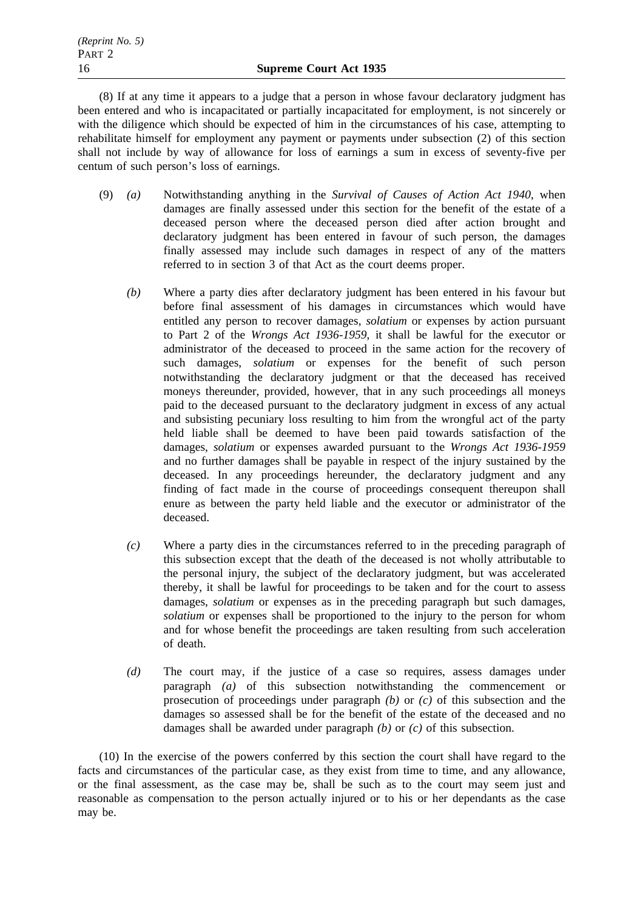(8) If at any time it appears to a judge that a person in whose favour declaratory judgment has been entered and who is incapacitated or partially incapacitated for employment, is not sincerely or with the diligence which should be expected of him in the circumstances of his case, attempting to rehabilitate himself for employment any payment or payments under subsection (2) of this section shall not include by way of allowance for loss of earnings a sum in excess of seventy-five per centum of such person's loss of earnings.

- (9) *(a)* Notwithstanding anything in the *Survival of Causes of Action Act 1940*, when damages are finally assessed under this section for the benefit of the estate of a deceased person where the deceased person died after action brought and declaratory judgment has been entered in favour of such person, the damages finally assessed may include such damages in respect of any of the matters referred to in section 3 of that Act as the court deems proper.
	- *(b)* Where a party dies after declaratory judgment has been entered in his favour but before final assessment of his damages in circumstances which would have entitled any person to recover damages, *solatium* or expenses by action pursuant to Part 2 of the *Wrongs Act 1936-1959*, it shall be lawful for the executor or administrator of the deceased to proceed in the same action for the recovery of such damages, *solatium* or expenses for the benefit of such person notwithstanding the declaratory judgment or that the deceased has received moneys thereunder, provided, however, that in any such proceedings all moneys paid to the deceased pursuant to the declaratory judgment in excess of any actual and subsisting pecuniary loss resulting to him from the wrongful act of the party held liable shall be deemed to have been paid towards satisfaction of the damages, *solatium* or expenses awarded pursuant to the *Wrongs Act 1936-1959* and no further damages shall be payable in respect of the injury sustained by the deceased. In any proceedings hereunder, the declaratory judgment and any finding of fact made in the course of proceedings consequent thereupon shall enure as between the party held liable and the executor or administrator of the deceased.
	- *(c)* Where a party dies in the circumstances referred to in the preceding paragraph of this subsection except that the death of the deceased is not wholly attributable to the personal injury, the subject of the declaratory judgment, but was accelerated thereby, it shall be lawful for proceedings to be taken and for the court to assess damages, *solatium* or expenses as in the preceding paragraph but such damages, *solatium* or expenses shall be proportioned to the injury to the person for whom and for whose benefit the proceedings are taken resulting from such acceleration of death.
	- *(d)* The court may, if the justice of a case so requires, assess damages under paragraph *(a)* of this subsection notwithstanding the commencement or prosecution of proceedings under paragraph *(b)* or *(c)* of this subsection and the damages so assessed shall be for the benefit of the estate of the deceased and no damages shall be awarded under paragraph *(b)* or *(c)* of this subsection.

(10) In the exercise of the powers conferred by this section the court shall have regard to the facts and circumstances of the particular case, as they exist from time to time, and any allowance, or the final assessment, as the case may be, shall be such as to the court may seem just and reasonable as compensation to the person actually injured or to his or her dependants as the case may be.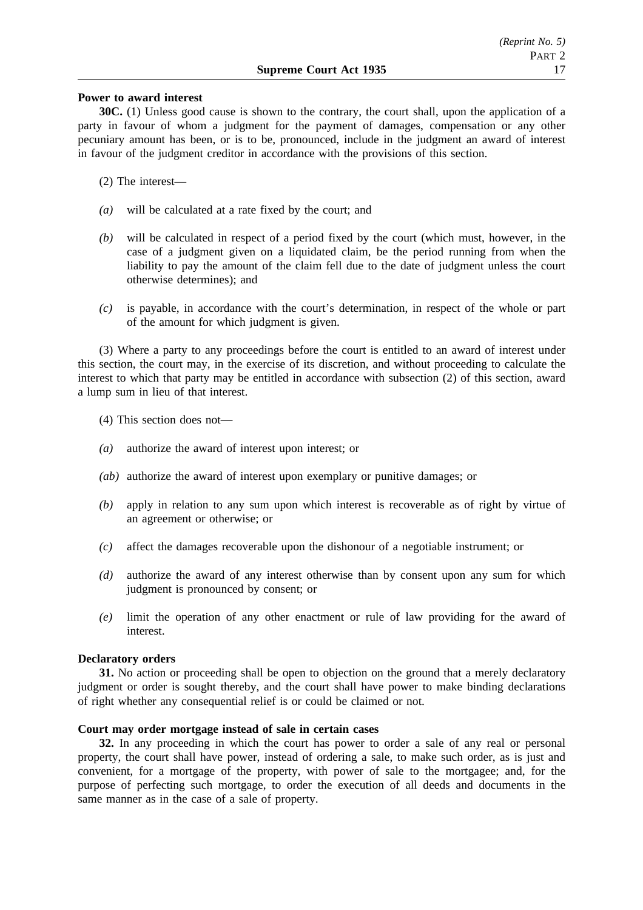# **Power to award interest**

**30C.** (1) Unless good cause is shown to the contrary, the court shall, upon the application of a party in favour of whom a judgment for the payment of damages, compensation or any other pecuniary amount has been, or is to be, pronounced, include in the judgment an award of interest in favour of the judgment creditor in accordance with the provisions of this section.

- (2) The interest—
- *(a)* will be calculated at a rate fixed by the court; and
- *(b)* will be calculated in respect of a period fixed by the court (which must, however, in the case of a judgment given on a liquidated claim, be the period running from when the liability to pay the amount of the claim fell due to the date of judgment unless the court otherwise determines); and
- *(c)* is payable, in accordance with the court's determination, in respect of the whole or part of the amount for which judgment is given.

(3) Where a party to any proceedings before the court is entitled to an award of interest under this section, the court may, in the exercise of its discretion, and without proceeding to calculate the interest to which that party may be entitled in accordance with subsection (2) of this section, award a lump sum in lieu of that interest.

(4) This section does not—

- *(a)* authorize the award of interest upon interest; or
- *(ab)* authorize the award of interest upon exemplary or punitive damages; or
- *(b)* apply in relation to any sum upon which interest is recoverable as of right by virtue of an agreement or otherwise; or
- *(c)* affect the damages recoverable upon the dishonour of a negotiable instrument; or
- *(d)* authorize the award of any interest otherwise than by consent upon any sum for which judgment is pronounced by consent; or
- *(e)* limit the operation of any other enactment or rule of law providing for the award of interest.

# **Declaratory orders**

**31.** No action or proceeding shall be open to objection on the ground that a merely declaratory judgment or order is sought thereby, and the court shall have power to make binding declarations of right whether any consequential relief is or could be claimed or not.

# **Court may order mortgage instead of sale in certain cases**

**32.** In any proceeding in which the court has power to order a sale of any real or personal property, the court shall have power, instead of ordering a sale, to make such order, as is just and convenient, for a mortgage of the property, with power of sale to the mortgagee; and, for the purpose of perfecting such mortgage, to order the execution of all deeds and documents in the same manner as in the case of a sale of property.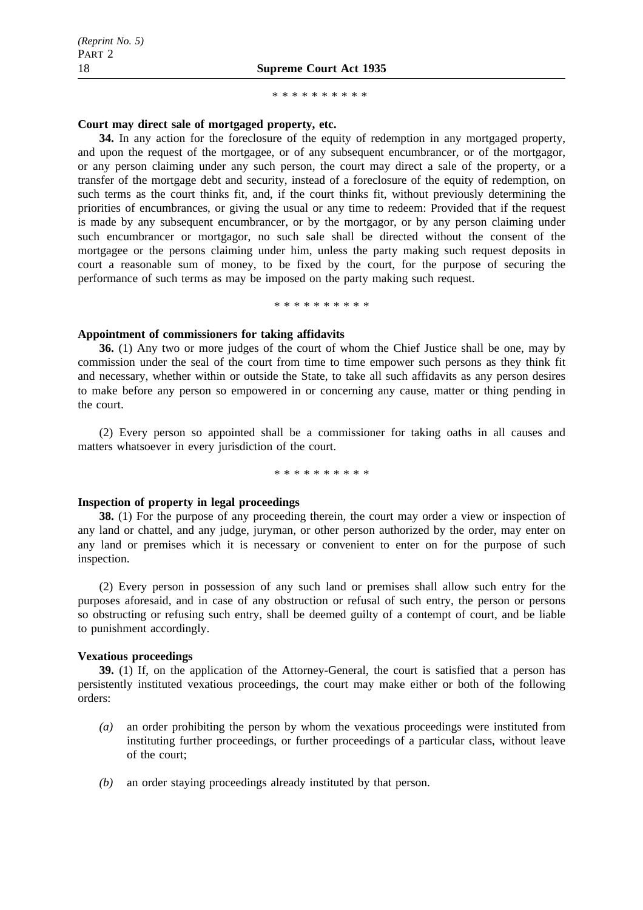\*\*\*\*\*\*\*\*\*\*

## **Court may direct sale of mortgaged property, etc.**

**34.** In any action for the foreclosure of the equity of redemption in any mortgaged property, and upon the request of the mortgagee, or of any subsequent encumbrancer, or of the mortgagor, or any person claiming under any such person, the court may direct a sale of the property, or a transfer of the mortgage debt and security, instead of a foreclosure of the equity of redemption, on such terms as the court thinks fit, and, if the court thinks fit, without previously determining the priorities of encumbrances, or giving the usual or any time to redeem: Provided that if the request is made by any subsequent encumbrancer, or by the mortgagor, or by any person claiming under such encumbrancer or mortgagor, no such sale shall be directed without the consent of the mortgagee or the persons claiming under him, unless the party making such request deposits in court a reasonable sum of money, to be fixed by the court, for the purpose of securing the performance of such terms as may be imposed on the party making such request.

\*\*\*\*\*\*\*\*\*\*

# **Appointment of commissioners for taking affidavits**

**36.** (1) Any two or more judges of the court of whom the Chief Justice shall be one, may by commission under the seal of the court from time to time empower such persons as they think fit and necessary, whether within or outside the State, to take all such affidavits as any person desires to make before any person so empowered in or concerning any cause, matter or thing pending in the court.

(2) Every person so appointed shall be a commissioner for taking oaths in all causes and matters whatsoever in every jurisdiction of the court.

\*\*\*\*\*\*\*\*\*\*

# **Inspection of property in legal proceedings**

**38.** (1) For the purpose of any proceeding therein, the court may order a view or inspection of any land or chattel, and any judge, juryman, or other person authorized by the order, may enter on any land or premises which it is necessary or convenient to enter on for the purpose of such inspection.

(2) Every person in possession of any such land or premises shall allow such entry for the purposes aforesaid, and in case of any obstruction or refusal of such entry, the person or persons so obstructing or refusing such entry, shall be deemed guilty of a contempt of court, and be liable to punishment accordingly.

# **Vexatious proceedings**

**39.** (1) If, on the application of the Attorney-General, the court is satisfied that a person has persistently instituted vexatious proceedings, the court may make either or both of the following orders:

- *(a)* an order prohibiting the person by whom the vexatious proceedings were instituted from instituting further proceedings, or further proceedings of a particular class, without leave of the court;
- *(b)* an order staying proceedings already instituted by that person.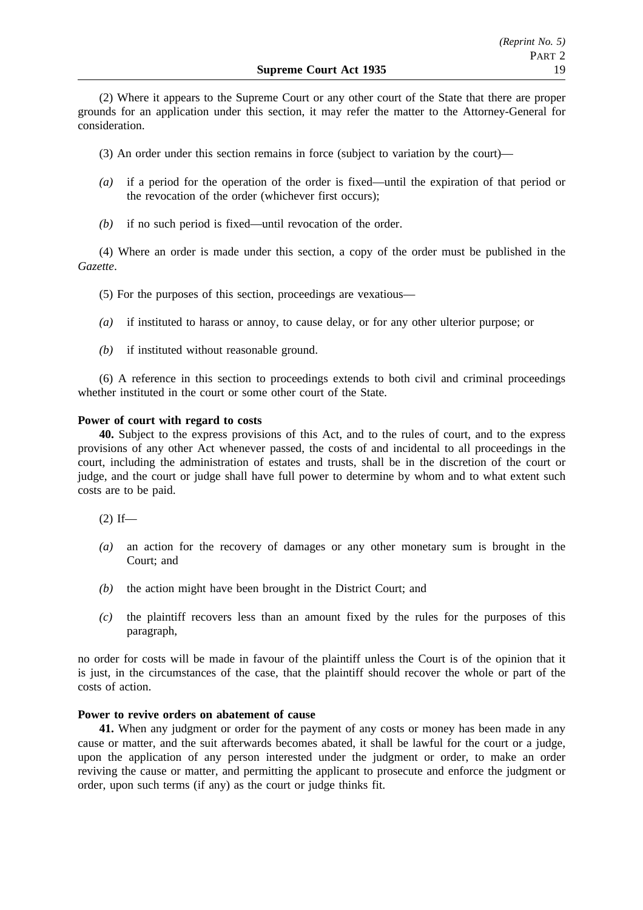(2) Where it appears to the Supreme Court or any other court of the State that there are proper grounds for an application under this section, it may refer the matter to the Attorney-General for consideration.

(3) An order under this section remains in force (subject to variation by the court)—

- *(a)* if a period for the operation of the order is fixed—until the expiration of that period or the revocation of the order (whichever first occurs);
- *(b)* if no such period is fixed—until revocation of the order.

(4) Where an order is made under this section, a copy of the order must be published in the *Gazette*.

- (5) For the purposes of this section, proceedings are vexatious—
- *(a)* if instituted to harass or annoy, to cause delay, or for any other ulterior purpose; or
- *(b)* if instituted without reasonable ground.

(6) A reference in this section to proceedings extends to both civil and criminal proceedings whether instituted in the court or some other court of the State.

# **Power of court with regard to costs**

**40.** Subject to the express provisions of this Act, and to the rules of court, and to the express provisions of any other Act whenever passed, the costs of and incidental to all proceedings in the court, including the administration of estates and trusts, shall be in the discretion of the court or judge, and the court or judge shall have full power to determine by whom and to what extent such costs are to be paid.

 $(2)$  If—

- *(a)* an action for the recovery of damages or any other monetary sum is brought in the Court; and
- *(b)* the action might have been brought in the District Court; and
- *(c)* the plaintiff recovers less than an amount fixed by the rules for the purposes of this paragraph,

no order for costs will be made in favour of the plaintiff unless the Court is of the opinion that it is just, in the circumstances of the case, that the plaintiff should recover the whole or part of the costs of action.

# **Power to revive orders on abatement of cause**

**41.** When any judgment or order for the payment of any costs or money has been made in any cause or matter, and the suit afterwards becomes abated, it shall be lawful for the court or a judge, upon the application of any person interested under the judgment or order, to make an order reviving the cause or matter, and permitting the applicant to prosecute and enforce the judgment or order, upon such terms (if any) as the court or judge thinks fit.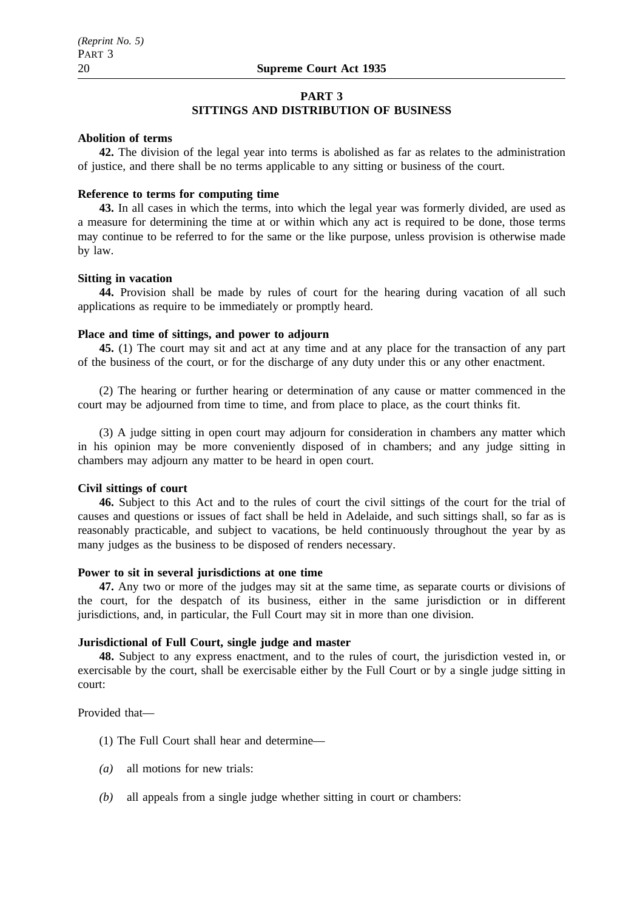#### **PART 3**

# **SITTINGS AND DISTRIBUTION OF BUSINESS**

#### **Abolition of terms**

**42.** The division of the legal year into terms is abolished as far as relates to the administration of justice, and there shall be no terms applicable to any sitting or business of the court.

# **Reference to terms for computing time**

**43.** In all cases in which the terms, into which the legal year was formerly divided, are used as a measure for determining the time at or within which any act is required to be done, those terms may continue to be referred to for the same or the like purpose, unless provision is otherwise made by law.

#### **Sitting in vacation**

**44.** Provision shall be made by rules of court for the hearing during vacation of all such applications as require to be immediately or promptly heard.

# **Place and time of sittings, and power to adjourn**

**45.** (1) The court may sit and act at any time and at any place for the transaction of any part of the business of the court, or for the discharge of any duty under this or any other enactment.

(2) The hearing or further hearing or determination of any cause or matter commenced in the court may be adjourned from time to time, and from place to place, as the court thinks fit.

(3) A judge sitting in open court may adjourn for consideration in chambers any matter which in his opinion may be more conveniently disposed of in chambers; and any judge sitting in chambers may adjourn any matter to be heard in open court.

#### **Civil sittings of court**

**46.** Subject to this Act and to the rules of court the civil sittings of the court for the trial of causes and questions or issues of fact shall be held in Adelaide, and such sittings shall, so far as is reasonably practicable, and subject to vacations, be held continuously throughout the year by as many judges as the business to be disposed of renders necessary.

#### **Power to sit in several jurisdictions at one time**

**47.** Any two or more of the judges may sit at the same time, as separate courts or divisions of the court, for the despatch of its business, either in the same jurisdiction or in different jurisdictions, and, in particular, the Full Court may sit in more than one division.

#### **Jurisdictional of Full Court, single judge and master**

**48.** Subject to any express enactment, and to the rules of court, the jurisdiction vested in, or exercisable by the court, shall be exercisable either by the Full Court or by a single judge sitting in court:

Provided that—

- (1) The Full Court shall hear and determine—
- *(a)* all motions for new trials:
- *(b)* all appeals from a single judge whether sitting in court or chambers: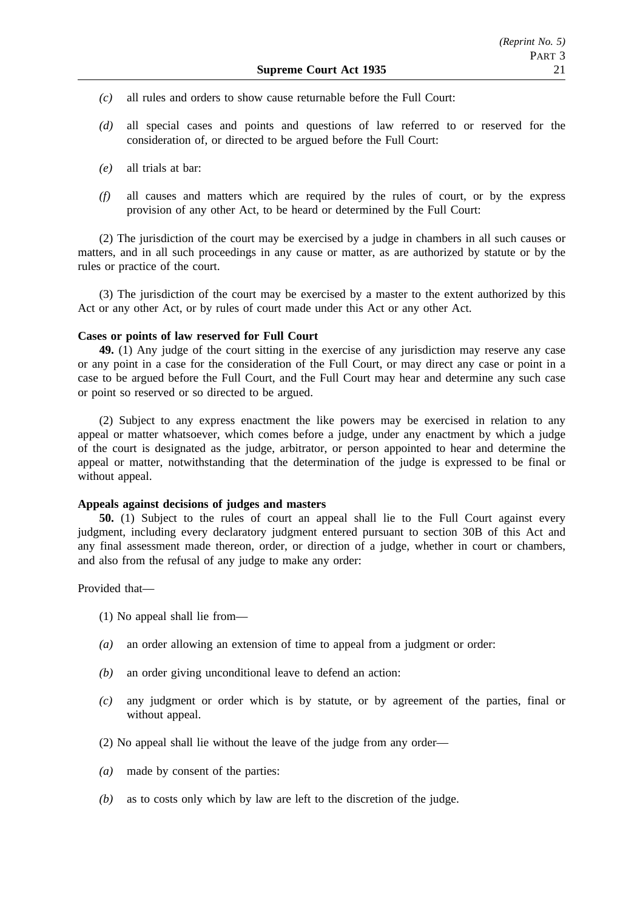- *(c)* all rules and orders to show cause returnable before the Full Court:
- *(d)* all special cases and points and questions of law referred to or reserved for the consideration of, or directed to be argued before the Full Court:
- *(e)* all trials at bar:
- *(f)* all causes and matters which are required by the rules of court, or by the express provision of any other Act, to be heard or determined by the Full Court:

(2) The jurisdiction of the court may be exercised by a judge in chambers in all such causes or matters, and in all such proceedings in any cause or matter, as are authorized by statute or by the rules or practice of the court.

(3) The jurisdiction of the court may be exercised by a master to the extent authorized by this Act or any other Act, or by rules of court made under this Act or any other Act.

# **Cases or points of law reserved for Full Court**

**49.** (1) Any judge of the court sitting in the exercise of any jurisdiction may reserve any case or any point in a case for the consideration of the Full Court, or may direct any case or point in a case to be argued before the Full Court, and the Full Court may hear and determine any such case or point so reserved or so directed to be argued.

(2) Subject to any express enactment the like powers may be exercised in relation to any appeal or matter whatsoever, which comes before a judge, under any enactment by which a judge of the court is designated as the judge, arbitrator, or person appointed to hear and determine the appeal or matter, notwithstanding that the determination of the judge is expressed to be final or without appeal.

# **Appeals against decisions of judges and masters**

**50.** (1) Subject to the rules of court an appeal shall lie to the Full Court against every judgment, including every declaratory judgment entered pursuant to section 30B of this Act and any final assessment made thereon, order, or direction of a judge, whether in court or chambers, and also from the refusal of any judge to make any order:

Provided that—

- (1) No appeal shall lie from—
- *(a)* an order allowing an extension of time to appeal from a judgment or order:
- *(b)* an order giving unconditional leave to defend an action:
- *(c)* any judgment or order which is by statute, or by agreement of the parties, final or without appeal.
- (2) No appeal shall lie without the leave of the judge from any order—
- *(a)* made by consent of the parties:
- *(b)* as to costs only which by law are left to the discretion of the judge.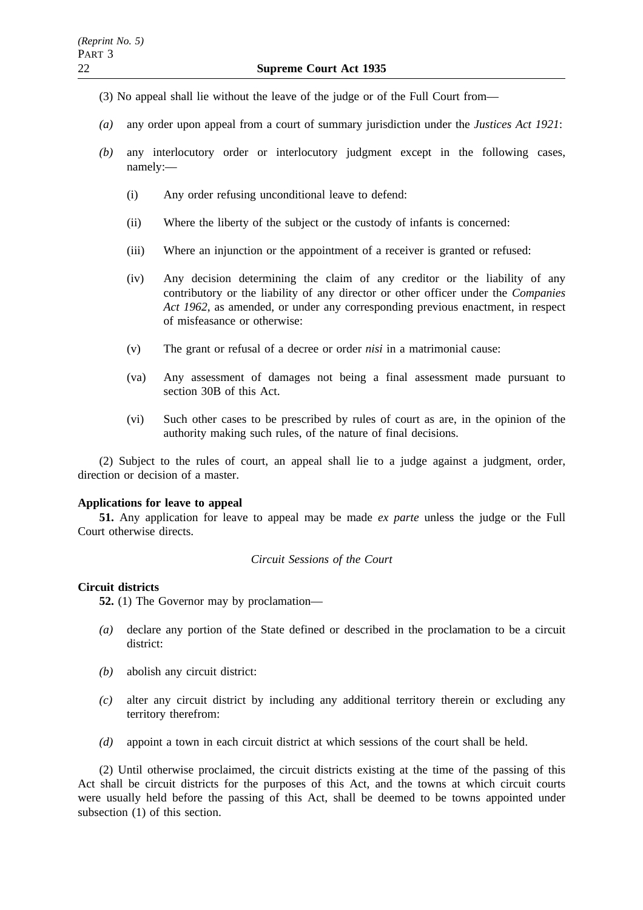- (3) No appeal shall lie without the leave of the judge or of the Full Court from—
- *(a)* any order upon appeal from a court of summary jurisdiction under the *Justices Act 1921*:
- *(b)* any interlocutory order or interlocutory judgment except in the following cases, namely:—
	- (i) Any order refusing unconditional leave to defend:
	- (ii) Where the liberty of the subject or the custody of infants is concerned:
	- (iii) Where an injunction or the appointment of a receiver is granted or refused:
	- (iv) Any decision determining the claim of any creditor or the liability of any contributory or the liability of any director or other officer under the *Companies Act 1962*, as amended, or under any corresponding previous enactment, in respect of misfeasance or otherwise:
	- (v) The grant or refusal of a decree or order *nisi* in a matrimonial cause:
	- (va) Any assessment of damages not being a final assessment made pursuant to section 30B of this Act.
	- (vi) Such other cases to be prescribed by rules of court as are, in the opinion of the authority making such rules, of the nature of final decisions.

(2) Subject to the rules of court, an appeal shall lie to a judge against a judgment, order, direction or decision of a master.

# **Applications for leave to appeal**

**51.** Any application for leave to appeal may be made *ex parte* unless the judge or the Full Court otherwise directs.

# *Circuit Sessions of the Court*

# **Circuit districts**

**52.** (1) The Governor may by proclamation—

- *(a)* declare any portion of the State defined or described in the proclamation to be a circuit district:
- *(b)* abolish any circuit district:
- *(c)* alter any circuit district by including any additional territory therein or excluding any territory therefrom:
- *(d)* appoint a town in each circuit district at which sessions of the court shall be held.

(2) Until otherwise proclaimed, the circuit districts existing at the time of the passing of this Act shall be circuit districts for the purposes of this Act, and the towns at which circuit courts were usually held before the passing of this Act, shall be deemed to be towns appointed under subsection (1) of this section.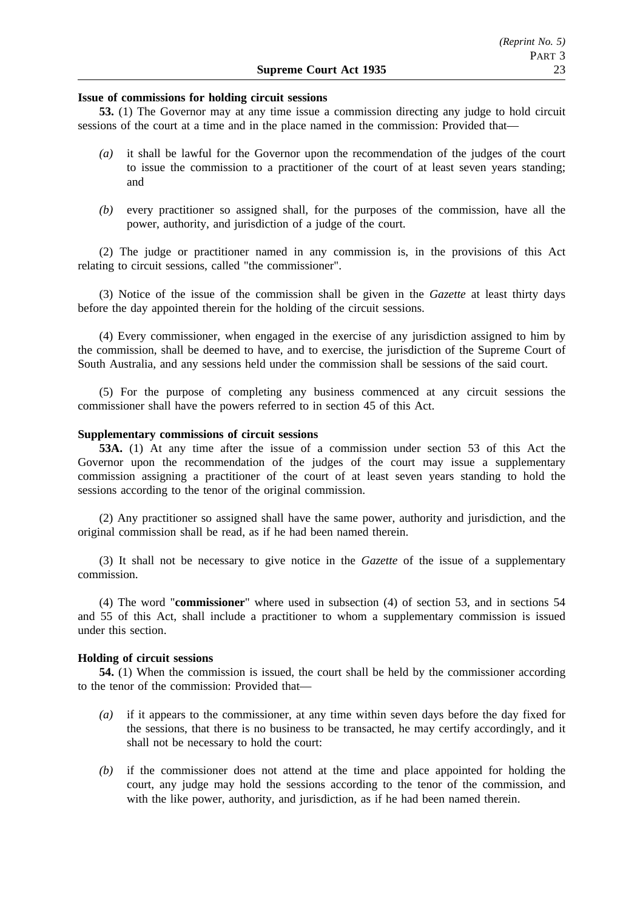#### **Issue of commissions for holding circuit sessions**

**53.** (1) The Governor may at any time issue a commission directing any judge to hold circuit sessions of the court at a time and in the place named in the commission: Provided that—

- *(a)* it shall be lawful for the Governor upon the recommendation of the judges of the court to issue the commission to a practitioner of the court of at least seven years standing; and
- *(b)* every practitioner so assigned shall, for the purposes of the commission, have all the power, authority, and jurisdiction of a judge of the court.

(2) The judge or practitioner named in any commission is, in the provisions of this Act relating to circuit sessions, called "the commissioner".

(3) Notice of the issue of the commission shall be given in the *Gazette* at least thirty days before the day appointed therein for the holding of the circuit sessions.

(4) Every commissioner, when engaged in the exercise of any jurisdiction assigned to him by the commission, shall be deemed to have, and to exercise, the jurisdiction of the Supreme Court of South Australia, and any sessions held under the commission shall be sessions of the said court.

(5) For the purpose of completing any business commenced at any circuit sessions the commissioner shall have the powers referred to in section 45 of this Act.

# **Supplementary commissions of circuit sessions**

**53A.** (1) At any time after the issue of a commission under section 53 of this Act the Governor upon the recommendation of the judges of the court may issue a supplementary commission assigning a practitioner of the court of at least seven years standing to hold the sessions according to the tenor of the original commission.

(2) Any practitioner so assigned shall have the same power, authority and jurisdiction, and the original commission shall be read, as if he had been named therein.

(3) It shall not be necessary to give notice in the *Gazette* of the issue of a supplementary commission.

(4) The word "**commissioner**" where used in subsection (4) of section 53, and in sections 54 and 55 of this Act, shall include a practitioner to whom a supplementary commission is issued under this section.

#### **Holding of circuit sessions**

**54.** (1) When the commission is issued, the court shall be held by the commissioner according to the tenor of the commission: Provided that—

- *(a)* if it appears to the commissioner, at any time within seven days before the day fixed for the sessions, that there is no business to be transacted, he may certify accordingly, and it shall not be necessary to hold the court:
- *(b)* if the commissioner does not attend at the time and place appointed for holding the court, any judge may hold the sessions according to the tenor of the commission, and with the like power, authority, and jurisdiction, as if he had been named therein.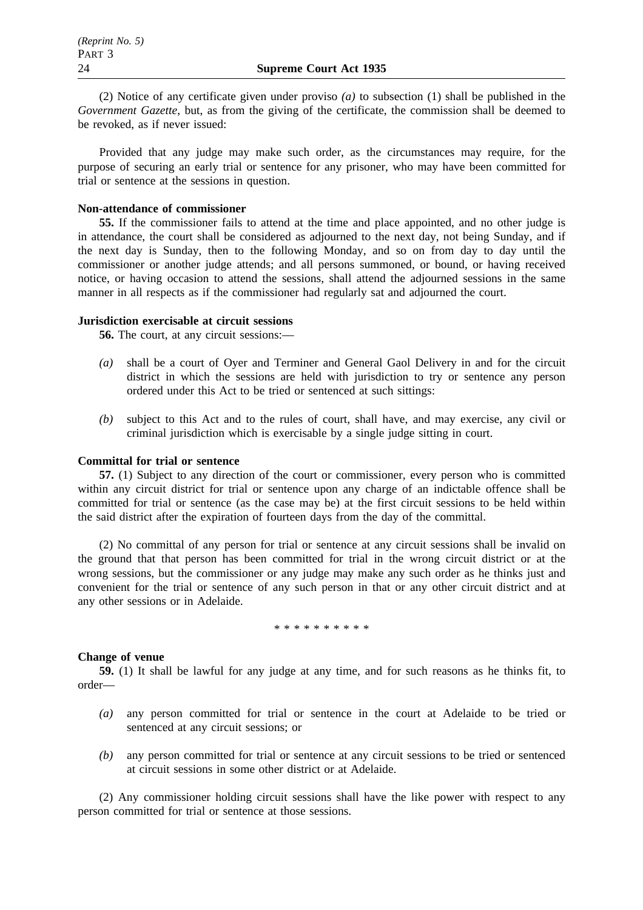(2) Notice of any certificate given under proviso *(a)* to subsection (1) shall be published in the *Government Gazette*, but, as from the giving of the certificate, the commission shall be deemed to be revoked, as if never issued:

Provided that any judge may make such order, as the circumstances may require, for the purpose of securing an early trial or sentence for any prisoner, who may have been committed for trial or sentence at the sessions in question.

#### **Non-attendance of commissioner**

**55.** If the commissioner fails to attend at the time and place appointed, and no other judge is in attendance, the court shall be considered as adjourned to the next day, not being Sunday, and if the next day is Sunday, then to the following Monday, and so on from day to day until the commissioner or another judge attends; and all persons summoned, or bound, or having received notice, or having occasion to attend the sessions, shall attend the adjourned sessions in the same manner in all respects as if the commissioner had regularly sat and adjourned the court.

#### **Jurisdiction exercisable at circuit sessions**

**56.** The court, at any circuit sessions:—

- *(a)* shall be a court of Oyer and Terminer and General Gaol Delivery in and for the circuit district in which the sessions are held with jurisdiction to try or sentence any person ordered under this Act to be tried or sentenced at such sittings:
- *(b)* subject to this Act and to the rules of court, shall have, and may exercise, any civil or criminal jurisdiction which is exercisable by a single judge sitting in court.

#### **Committal for trial or sentence**

**57.** (1) Subject to any direction of the court or commissioner, every person who is committed within any circuit district for trial or sentence upon any charge of an indictable offence shall be committed for trial or sentence (as the case may be) at the first circuit sessions to be held within the said district after the expiration of fourteen days from the day of the committal.

(2) No committal of any person for trial or sentence at any circuit sessions shall be invalid on the ground that that person has been committed for trial in the wrong circuit district or at the wrong sessions, but the commissioner or any judge may make any such order as he thinks just and convenient for the trial or sentence of any such person in that or any other circuit district and at any other sessions or in Adelaide.

#### \*\*\*\*\*\*\*\*\*\*

## **Change of venue**

**59.** (1) It shall be lawful for any judge at any time, and for such reasons as he thinks fit, to order—

- *(a)* any person committed for trial or sentence in the court at Adelaide to be tried or sentenced at any circuit sessions; or
- *(b)* any person committed for trial or sentence at any circuit sessions to be tried or sentenced at circuit sessions in some other district or at Adelaide.

(2) Any commissioner holding circuit sessions shall have the like power with respect to any person committed for trial or sentence at those sessions.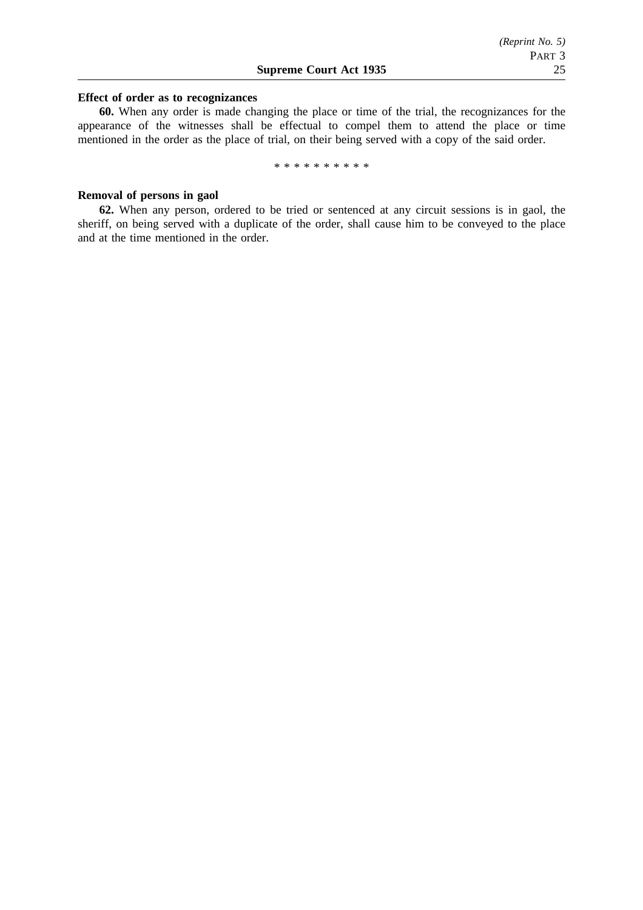#### **Effect of order as to recognizances**

**60.** When any order is made changing the place or time of the trial, the recognizances for the appearance of the witnesses shall be effectual to compel them to attend the place or time mentioned in the order as the place of trial, on their being served with a copy of the said order.

\*\*\*\*\*\*\*\*\*\*

# **Removal of persons in gaol**

**62.** When any person, ordered to be tried or sentenced at any circuit sessions is in gaol, the sheriff, on being served with a duplicate of the order, shall cause him to be conveyed to the place and at the time mentioned in the order.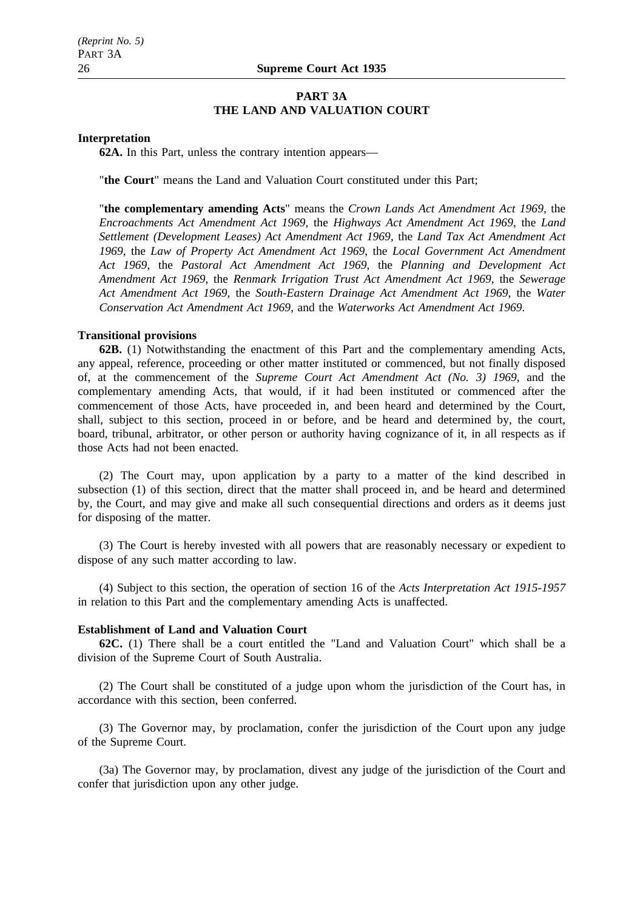# **PART 3A THE LAND AND VALUATION COURT**

#### **Interpretation**

**62A.** In this Part, unless the contrary intention appears—

"**the Court**" means the Land and Valuation Court constituted under this Part;

"**the complementary amending Acts**" means the *Crown Lands Act Amendment Act 1969*, the *Encroachments Act Amendment Act 1969*, the *Highways Act Amendment Act 1969*, the *Land Settlement (Development Leases) Act Amendment Act 1969*, the *Land Tax Act Amendment Act 1969*, the *Law of Property Act Amendment Act 1969*, the *Local Government Act Amendment Act 1969*, the *Pastoral Act Amendment Act 1969*, the *Planning and Development Act Amendment Act 1969*, the *Renmark Irrigation Trust Act Amendment Act 1969*, the *Sewerage Act Amendment Act 1969*, the *South-Eastern Drainage Act Amendment Act 1969*, the *Water Conservation Act Amendment Act 1969*, and the *Waterworks Act Amendment Act 1969*.

#### **Transitional provisions**

**62B.** (1) Notwithstanding the enactment of this Part and the complementary amending Acts, any appeal, reference, proceeding or other matter instituted or commenced, but not finally disposed of, at the commencement of the *Supreme Court Act Amendment Act (No. 3) 1969*, and the complementary amending Acts, that would, if it had been instituted or commenced after the commencement of those Acts, have proceeded in, and been heard and determined by the Court, shall, subject to this section, proceed in or before, and be heard and determined by, the court, board, tribunal, arbitrator, or other person or authority having cognizance of it, in all respects as if those Acts had not been enacted.

(2) The Court may, upon application by a party to a matter of the kind described in subsection (1) of this section, direct that the matter shall proceed in, and be heard and determined by, the Court, and may give and make all such consequential directions and orders as it deems just for disposing of the matter.

(3) The Court is hereby invested with all powers that are reasonably necessary or expedient to dispose of any such matter according to law.

(4) Subject to this section, the operation of section 16 of the *Acts Interpretation Act 1915-1957* in relation to this Part and the complementary amending Acts is unaffected.

# **Establishment of Land and Valuation Court**

**62C.** (1) There shall be a court entitled the "Land and Valuation Court" which shall be a division of the Supreme Court of South Australia.

(2) The Court shall be constituted of a judge upon whom the jurisdiction of the Court has, in accordance with this section, been conferred.

(3) The Governor may, by proclamation, confer the jurisdiction of the Court upon any judge of the Supreme Court.

(3a) The Governor may, by proclamation, divest any judge of the jurisdiction of the Court and confer that jurisdiction upon any other judge.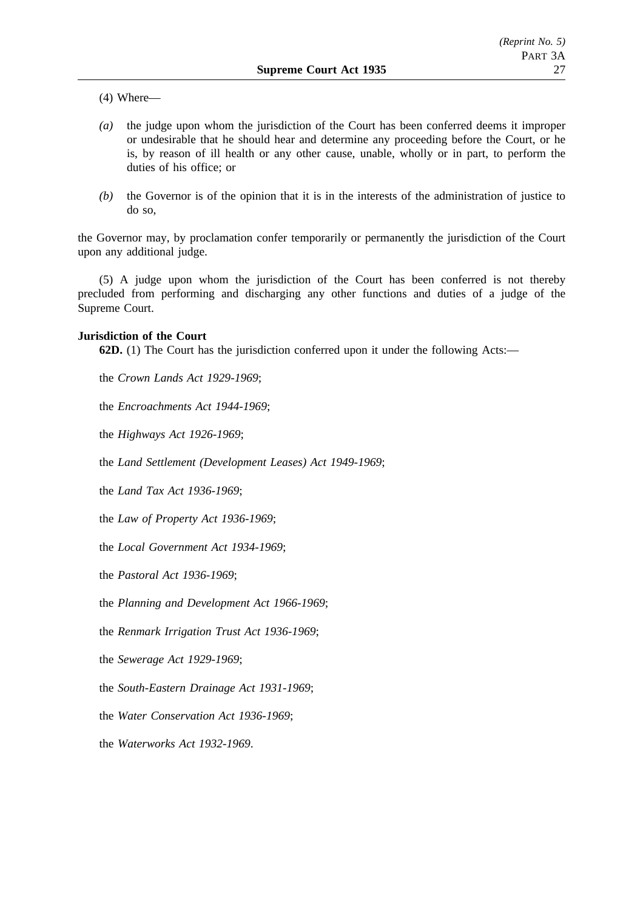(4) Where—

- *(a)* the judge upon whom the jurisdiction of the Court has been conferred deems it improper or undesirable that he should hear and determine any proceeding before the Court, or he is, by reason of ill health or any other cause, unable, wholly or in part, to perform the duties of his office; or
- *(b)* the Governor is of the opinion that it is in the interests of the administration of justice to do so,

the Governor may, by proclamation confer temporarily or permanently the jurisdiction of the Court upon any additional judge.

(5) A judge upon whom the jurisdiction of the Court has been conferred is not thereby precluded from performing and discharging any other functions and duties of a judge of the Supreme Court.

## **Jurisdiction of the Court**

**62D.** (1) The Court has the jurisdiction conferred upon it under the following Acts:—

the *Crown Lands Act 1929-1969*;

the *Encroachments Act 1944-1969*;

the *Highways Act 1926-1969*;

the *Land Settlement (Development Leases) Act 1949-1969*;

the *Land Tax Act 1936-1969*;

the *Law of Property Act 1936-1969*;

the *Local Government Act 1934-1969*;

the *Pastoral Act 1936-1969*;

the *Planning and Development Act 1966-1969*;

the *Renmark Irrigation Trust Act 1936-1969*;

the *Sewerage Act 1929-1969*;

the *South-Eastern Drainage Act 1931-1969*;

the *Water Conservation Act 1936-1969*;

the *Waterworks Act 1932-1969*.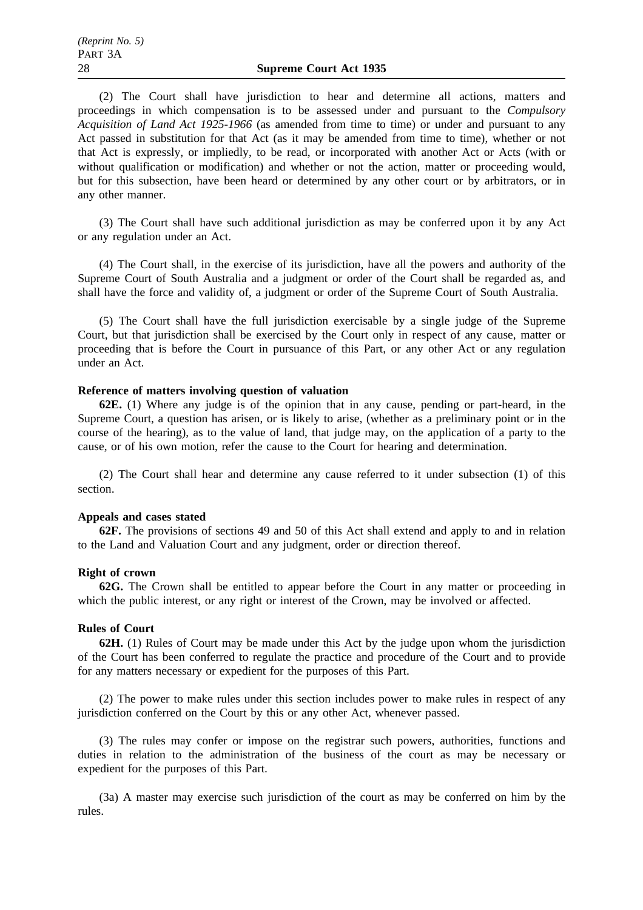(2) The Court shall have jurisdiction to hear and determine all actions, matters and proceedings in which compensation is to be assessed under and pursuant to the *Compulsory Acquisition of Land Act 1925-1966* (as amended from time to time) or under and pursuant to any Act passed in substitution for that Act (as it may be amended from time to time), whether or not that Act is expressly, or impliedly, to be read, or incorporated with another Act or Acts (with or without qualification or modification) and whether or not the action, matter or proceeding would, but for this subsection, have been heard or determined by any other court or by arbitrators, or in any other manner.

(3) The Court shall have such additional jurisdiction as may be conferred upon it by any Act or any regulation under an Act.

(4) The Court shall, in the exercise of its jurisdiction, have all the powers and authority of the Supreme Court of South Australia and a judgment or order of the Court shall be regarded as, and shall have the force and validity of, a judgment or order of the Supreme Court of South Australia.

(5) The Court shall have the full jurisdiction exercisable by a single judge of the Supreme Court, but that jurisdiction shall be exercised by the Court only in respect of any cause, matter or proceeding that is before the Court in pursuance of this Part, or any other Act or any regulation under an Act.

#### **Reference of matters involving question of valuation**

**62E.** (1) Where any judge is of the opinion that in any cause, pending or part-heard, in the Supreme Court, a question has arisen, or is likely to arise, (whether as a preliminary point or in the course of the hearing), as to the value of land, that judge may, on the application of a party to the cause, or of his own motion, refer the cause to the Court for hearing and determination.

(2) The Court shall hear and determine any cause referred to it under subsection (1) of this section.

# **Appeals and cases stated**

**62F.** The provisions of sections 49 and 50 of this Act shall extend and apply to and in relation to the Land and Valuation Court and any judgment, order or direction thereof.

#### **Right of crown**

**62G.** The Crown shall be entitled to appear before the Court in any matter or proceeding in which the public interest, or any right or interest of the Crown, may be involved or affected.

#### **Rules of Court**

**62H.** (1) Rules of Court may be made under this Act by the judge upon whom the jurisdiction of the Court has been conferred to regulate the practice and procedure of the Court and to provide for any matters necessary or expedient for the purposes of this Part.

(2) The power to make rules under this section includes power to make rules in respect of any jurisdiction conferred on the Court by this or any other Act, whenever passed.

(3) The rules may confer or impose on the registrar such powers, authorities, functions and duties in relation to the administration of the business of the court as may be necessary or expedient for the purposes of this Part.

(3a) A master may exercise such jurisdiction of the court as may be conferred on him by the rules.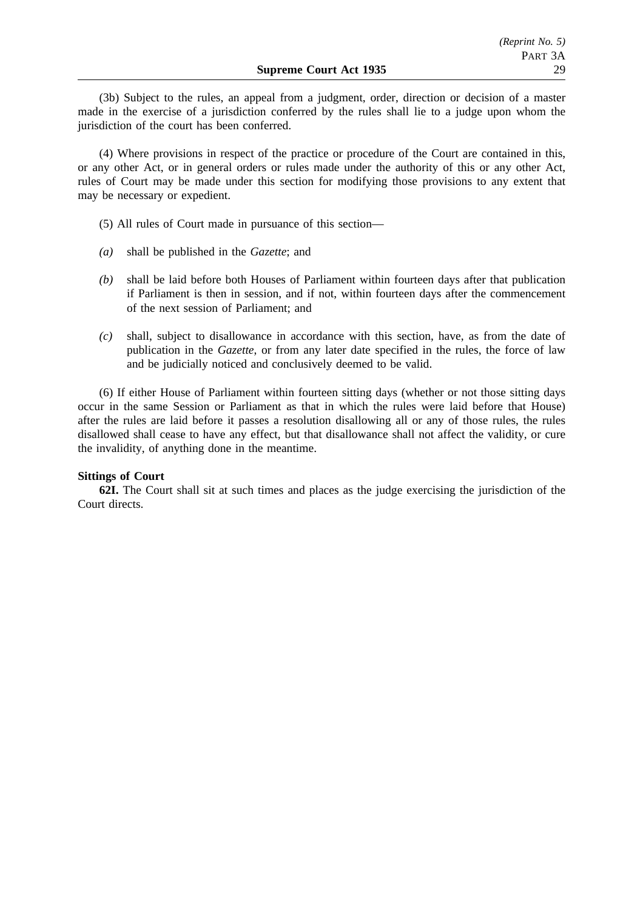(3b) Subject to the rules, an appeal from a judgment, order, direction or decision of a master made in the exercise of a jurisdiction conferred by the rules shall lie to a judge upon whom the jurisdiction of the court has been conferred.

(4) Where provisions in respect of the practice or procedure of the Court are contained in this, or any other Act, or in general orders or rules made under the authority of this or any other Act, rules of Court may be made under this section for modifying those provisions to any extent that may be necessary or expedient.

- (5) All rules of Court made in pursuance of this section—
- *(a)* shall be published in the *Gazette*; and
- *(b)* shall be laid before both Houses of Parliament within fourteen days after that publication if Parliament is then in session, and if not, within fourteen days after the commencement of the next session of Parliament; and
- *(c)* shall, subject to disallowance in accordance with this section, have, as from the date of publication in the *Gazette*, or from any later date specified in the rules, the force of law and be judicially noticed and conclusively deemed to be valid.

(6) If either House of Parliament within fourteen sitting days (whether or not those sitting days occur in the same Session or Parliament as that in which the rules were laid before that House) after the rules are laid before it passes a resolution disallowing all or any of those rules, the rules disallowed shall cease to have any effect, but that disallowance shall not affect the validity, or cure the invalidity, of anything done in the meantime.

# **Sittings of Court**

**62I.** The Court shall sit at such times and places as the judge exercising the jurisdiction of the Court directs.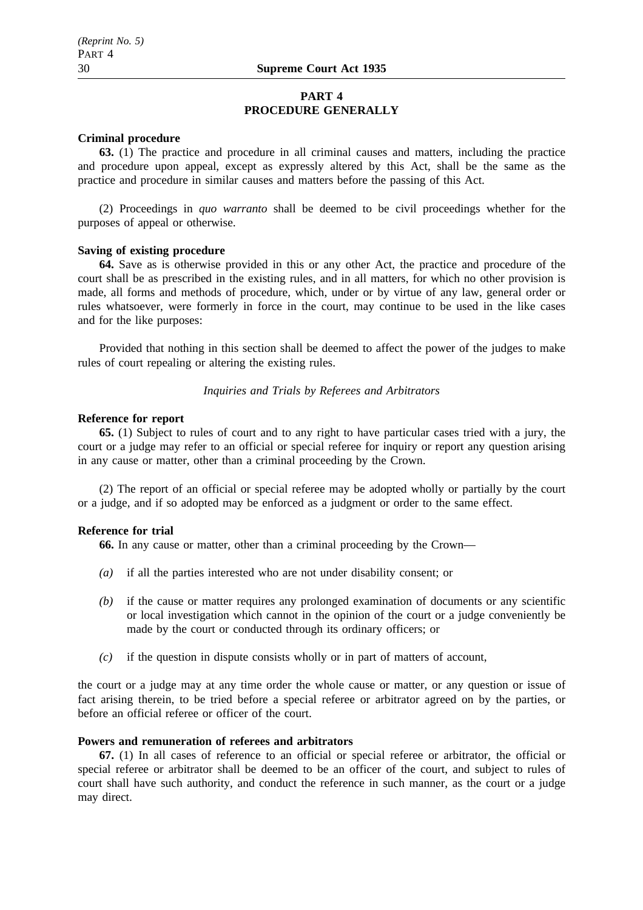# **PART 4 PROCEDURE GENERALLY**

#### **Criminal procedure**

**63.** (1) The practice and procedure in all criminal causes and matters, including the practice and procedure upon appeal, except as expressly altered by this Act, shall be the same as the practice and procedure in similar causes and matters before the passing of this Act.

(2) Proceedings in *quo warranto* shall be deemed to be civil proceedings whether for the purposes of appeal or otherwise.

#### **Saving of existing procedure**

**64.** Save as is otherwise provided in this or any other Act, the practice and procedure of the court shall be as prescribed in the existing rules, and in all matters, for which no other provision is made, all forms and methods of procedure, which, under or by virtue of any law, general order or rules whatsoever, were formerly in force in the court, may continue to be used in the like cases and for the like purposes:

Provided that nothing in this section shall be deemed to affect the power of the judges to make rules of court repealing or altering the existing rules.

## *Inquiries and Trials by Referees and Arbitrators*

# **Reference for report**

**65.** (1) Subject to rules of court and to any right to have particular cases tried with a jury, the court or a judge may refer to an official or special referee for inquiry or report any question arising in any cause or matter, other than a criminal proceeding by the Crown.

(2) The report of an official or special referee may be adopted wholly or partially by the court or a judge, and if so adopted may be enforced as a judgment or order to the same effect.

#### **Reference for trial**

**66.** In any cause or matter, other than a criminal proceeding by the Crown—

- *(a)* if all the parties interested who are not under disability consent; or
- *(b)* if the cause or matter requires any prolonged examination of documents or any scientific or local investigation which cannot in the opinion of the court or a judge conveniently be made by the court or conducted through its ordinary officers; or
- *(c)* if the question in dispute consists wholly or in part of matters of account,

the court or a judge may at any time order the whole cause or matter, or any question or issue of fact arising therein, to be tried before a special referee or arbitrator agreed on by the parties, or before an official referee or officer of the court.

# **Powers and remuneration of referees and arbitrators**

**67.** (1) In all cases of reference to an official or special referee or arbitrator, the official or special referee or arbitrator shall be deemed to be an officer of the court, and subject to rules of court shall have such authority, and conduct the reference in such manner, as the court or a judge may direct.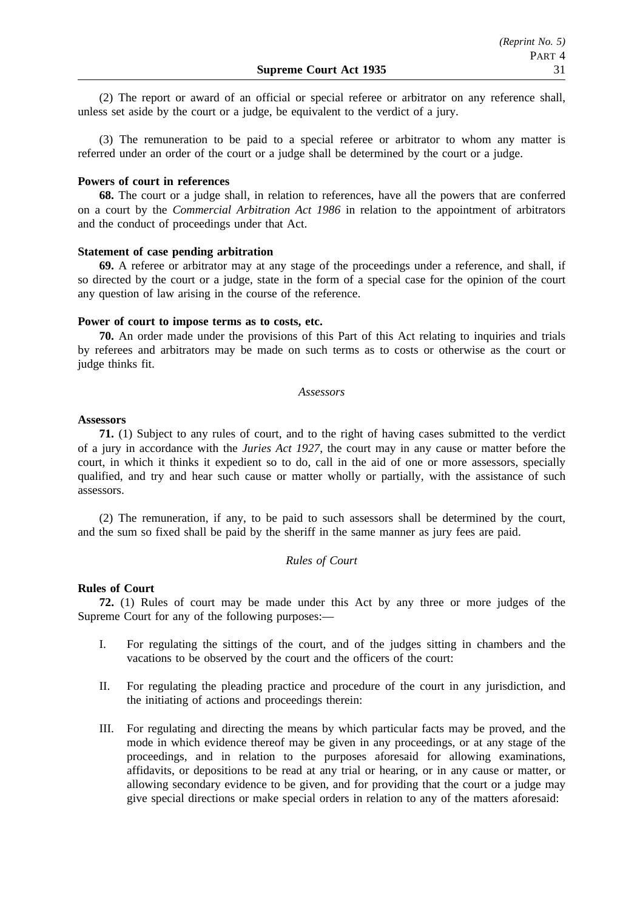(2) The report or award of an official or special referee or arbitrator on any reference shall, unless set aside by the court or a judge, be equivalent to the verdict of a jury.

(3) The remuneration to be paid to a special referee or arbitrator to whom any matter is referred under an order of the court or a judge shall be determined by the court or a judge.

# **Powers of court in references**

**68.** The court or a judge shall, in relation to references, have all the powers that are conferred on a court by the *Commercial Arbitration Act 1986* in relation to the appointment of arbitrators and the conduct of proceedings under that Act.

#### **Statement of case pending arbitration**

**69.** A referee or arbitrator may at any stage of the proceedings under a reference, and shall, if so directed by the court or a judge, state in the form of a special case for the opinion of the court any question of law arising in the course of the reference.

#### **Power of court to impose terms as to costs, etc.**

**70.** An order made under the provisions of this Part of this Act relating to inquiries and trials by referees and arbitrators may be made on such terms as to costs or otherwise as the court or judge thinks fit.

#### *Assessors*

#### **Assessors**

**71.** (1) Subject to any rules of court, and to the right of having cases submitted to the verdict of a jury in accordance with the *Juries Act 1927*, the court may in any cause or matter before the court, in which it thinks it expedient so to do, call in the aid of one or more assessors, specially qualified, and try and hear such cause or matter wholly or partially, with the assistance of such assessors.

(2) The remuneration, if any, to be paid to such assessors shall be determined by the court, and the sum so fixed shall be paid by the sheriff in the same manner as jury fees are paid.

#### *Rules of Court*

#### **Rules of Court**

**72.** (1) Rules of court may be made under this Act by any three or more judges of the Supreme Court for any of the following purposes:—

- I. For regulating the sittings of the court, and of the judges sitting in chambers and the vacations to be observed by the court and the officers of the court:
- II. For regulating the pleading practice and procedure of the court in any jurisdiction, and the initiating of actions and proceedings therein:
- III. For regulating and directing the means by which particular facts may be proved, and the mode in which evidence thereof may be given in any proceedings, or at any stage of the proceedings, and in relation to the purposes aforesaid for allowing examinations, affidavits, or depositions to be read at any trial or hearing, or in any cause or matter, or allowing secondary evidence to be given, and for providing that the court or a judge may give special directions or make special orders in relation to any of the matters aforesaid: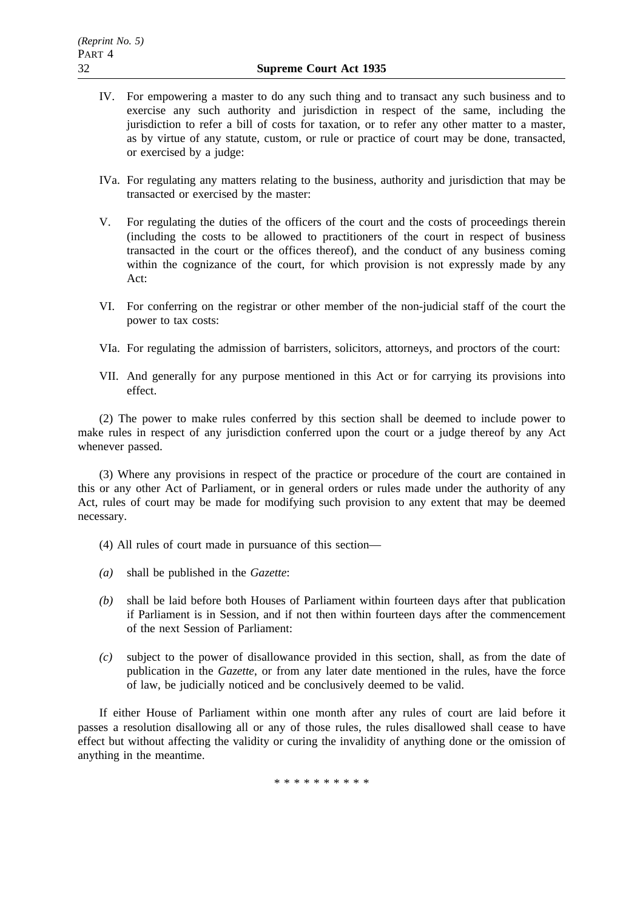- IV. For empowering a master to do any such thing and to transact any such business and to exercise any such authority and jurisdiction in respect of the same, including the jurisdiction to refer a bill of costs for taxation, or to refer any other matter to a master, as by virtue of any statute, custom, or rule or practice of court may be done, transacted, or exercised by a judge:
- IVa. For regulating any matters relating to the business, authority and jurisdiction that may be transacted or exercised by the master:
- V. For regulating the duties of the officers of the court and the costs of proceedings therein (including the costs to be allowed to practitioners of the court in respect of business transacted in the court or the offices thereof), and the conduct of any business coming within the cognizance of the court, for which provision is not expressly made by any Act:
- VI. For conferring on the registrar or other member of the non-judicial staff of the court the power to tax costs:
- VIa. For regulating the admission of barristers, solicitors, attorneys, and proctors of the court:
- VII. And generally for any purpose mentioned in this Act or for carrying its provisions into effect.

(2) The power to make rules conferred by this section shall be deemed to include power to make rules in respect of any jurisdiction conferred upon the court or a judge thereof by any Act whenever passed.

(3) Where any provisions in respect of the practice or procedure of the court are contained in this or any other Act of Parliament, or in general orders or rules made under the authority of any Act, rules of court may be made for modifying such provision to any extent that may be deemed necessary.

- (4) All rules of court made in pursuance of this section—
- *(a)* shall be published in the *Gazette*:
- *(b)* shall be laid before both Houses of Parliament within fourteen days after that publication if Parliament is in Session, and if not then within fourteen days after the commencement of the next Session of Parliament:
- *(c)* subject to the power of disallowance provided in this section, shall, as from the date of publication in the *Gazette*, or from any later date mentioned in the rules, have the force of law, be judicially noticed and be conclusively deemed to be valid.

If either House of Parliament within one month after any rules of court are laid before it passes a resolution disallowing all or any of those rules, the rules disallowed shall cease to have effect but without affecting the validity or curing the invalidity of anything done or the omission of anything in the meantime.

\*\*\*\*\*\*\*\*\*\*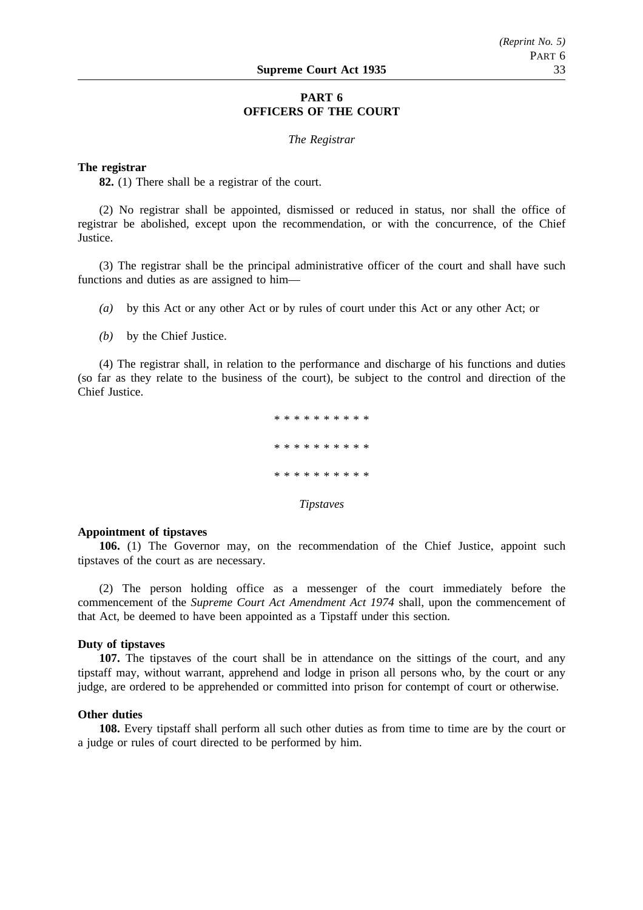# **PART 6 OFFICERS OF THE COURT**

#### *The Registrar*

#### **The registrar**

**82.** (1) There shall be a registrar of the court.

(2) No registrar shall be appointed, dismissed or reduced in status, nor shall the office of registrar be abolished, except upon the recommendation, or with the concurrence, of the Chief **Justice** 

(3) The registrar shall be the principal administrative officer of the court and shall have such functions and duties as are assigned to him—

- *(a)* by this Act or any other Act or by rules of court under this Act or any other Act; or
- *(b)* by the Chief Justice.

(4) The registrar shall, in relation to the performance and discharge of his functions and duties (so far as they relate to the business of the court), be subject to the control and direction of the Chief Justice.

> \*\*\*\*\*\*\*\*\*\* \*\*\*\*\*\*\*\*\*\* \*\*\*\*\*\*\*\*\*\*\*\*\* *Tipstaves*

#### **Appointment of tipstaves**

**106.** (1) The Governor may, on the recommendation of the Chief Justice, appoint such tipstaves of the court as are necessary.

(2) The person holding office as a messenger of the court immediately before the commencement of the *Supreme Court Act Amendment Act 1974* shall, upon the commencement of that Act, be deemed to have been appointed as a Tipstaff under this section.

# **Duty of tipstaves**

**107.** The tipstaves of the court shall be in attendance on the sittings of the court, and any tipstaff may, without warrant, apprehend and lodge in prison all persons who, by the court or any judge, are ordered to be apprehended or committed into prison for contempt of court or otherwise.

# **Other duties**

**108.** Every tipstaff shall perform all such other duties as from time to time are by the court or a judge or rules of court directed to be performed by him.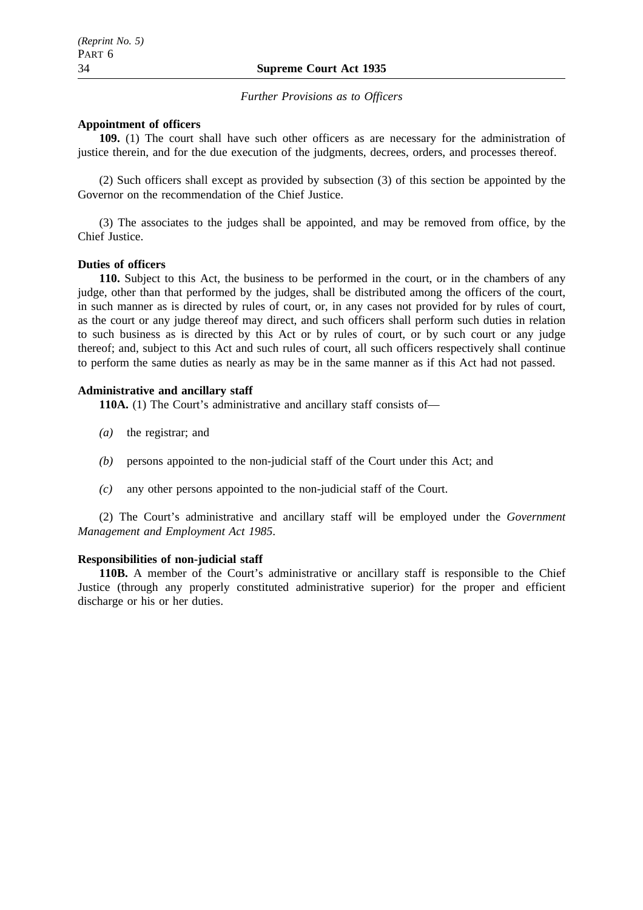*Further Provisions as to Officers*

# **Appointment of officers**

**109.** (1) The court shall have such other officers as are necessary for the administration of justice therein, and for the due execution of the judgments, decrees, orders, and processes thereof.

(2) Such officers shall except as provided by subsection (3) of this section be appointed by the Governor on the recommendation of the Chief Justice.

(3) The associates to the judges shall be appointed, and may be removed from office, by the Chief Justice.

#### **Duties of officers**

**110.** Subject to this Act, the business to be performed in the court, or in the chambers of any judge, other than that performed by the judges, shall be distributed among the officers of the court, in such manner as is directed by rules of court, or, in any cases not provided for by rules of court, as the court or any judge thereof may direct, and such officers shall perform such duties in relation to such business as is directed by this Act or by rules of court, or by such court or any judge thereof; and, subject to this Act and such rules of court, all such officers respectively shall continue to perform the same duties as nearly as may be in the same manner as if this Act had not passed.

# **Administrative and ancillary staff**

**110A.** (1) The Court's administrative and ancillary staff consists of—

- *(a)* the registrar; and
- *(b)* persons appointed to the non-judicial staff of the Court under this Act; and
- *(c)* any other persons appointed to the non-judicial staff of the Court.

(2) The Court's administrative and ancillary staff will be employed under the *Government Management and Employment Act 1985*.

#### **Responsibilities of non-judicial staff**

**110B.** A member of the Court's administrative or ancillary staff is responsible to the Chief Justice (through any properly constituted administrative superior) for the proper and efficient discharge or his or her duties.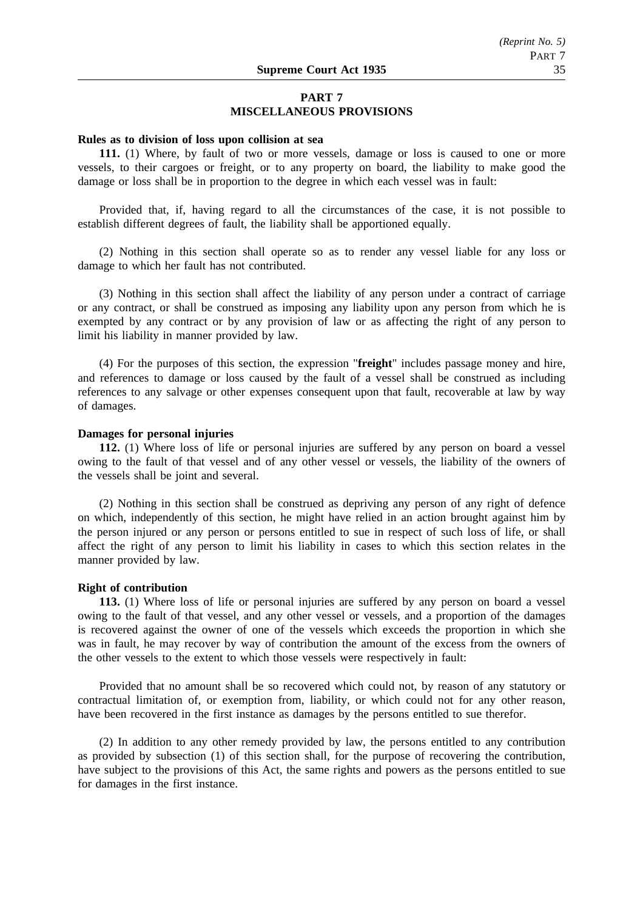# **PART 7 MISCELLANEOUS PROVISIONS**

#### **Rules as to division of loss upon collision at sea**

**111.** (1) Where, by fault of two or more vessels, damage or loss is caused to one or more vessels, to their cargoes or freight, or to any property on board, the liability to make good the damage or loss shall be in proportion to the degree in which each vessel was in fault:

Provided that, if, having regard to all the circumstances of the case, it is not possible to establish different degrees of fault, the liability shall be apportioned equally.

(2) Nothing in this section shall operate so as to render any vessel liable for any loss or damage to which her fault has not contributed.

(3) Nothing in this section shall affect the liability of any person under a contract of carriage or any contract, or shall be construed as imposing any liability upon any person from which he is exempted by any contract or by any provision of law or as affecting the right of any person to limit his liability in manner provided by law.

(4) For the purposes of this section, the expression "**freight**" includes passage money and hire, and references to damage or loss caused by the fault of a vessel shall be construed as including references to any salvage or other expenses consequent upon that fault, recoverable at law by way of damages.

#### **Damages for personal injuries**

**112.** (1) Where loss of life or personal injuries are suffered by any person on board a vessel owing to the fault of that vessel and of any other vessel or vessels, the liability of the owners of the vessels shall be joint and several.

(2) Nothing in this section shall be construed as depriving any person of any right of defence on which, independently of this section, he might have relied in an action brought against him by the person injured or any person or persons entitled to sue in respect of such loss of life, or shall affect the right of any person to limit his liability in cases to which this section relates in the manner provided by law.

#### **Right of contribution**

**113.** (1) Where loss of life or personal injuries are suffered by any person on board a vessel owing to the fault of that vessel, and any other vessel or vessels, and a proportion of the damages is recovered against the owner of one of the vessels which exceeds the proportion in which she was in fault, he may recover by way of contribution the amount of the excess from the owners of the other vessels to the extent to which those vessels were respectively in fault:

Provided that no amount shall be so recovered which could not, by reason of any statutory or contractual limitation of, or exemption from, liability, or which could not for any other reason, have been recovered in the first instance as damages by the persons entitled to sue therefor.

(2) In addition to any other remedy provided by law, the persons entitled to any contribution as provided by subsection (1) of this section shall, for the purpose of recovering the contribution, have subject to the provisions of this Act, the same rights and powers as the persons entitled to sue for damages in the first instance.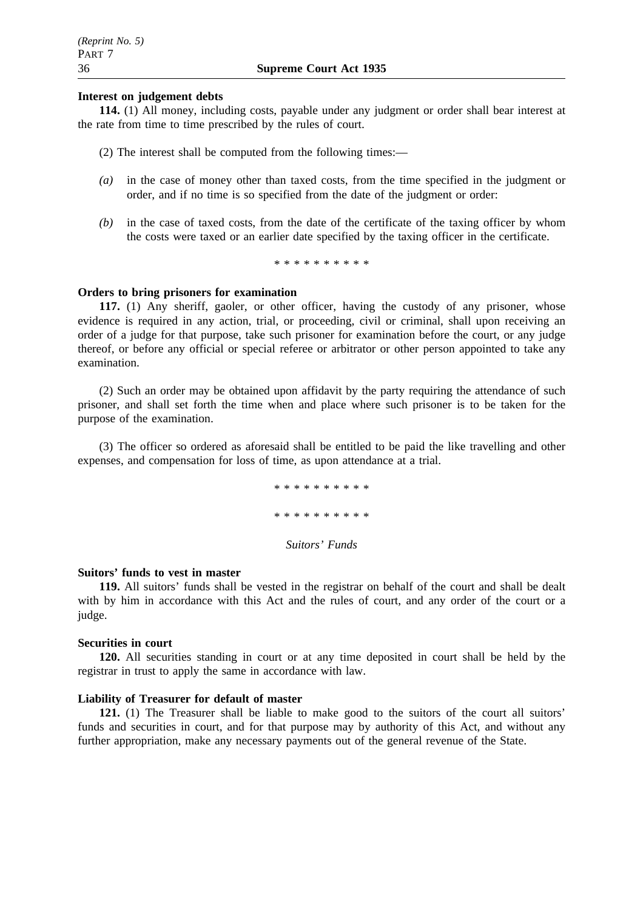# **Interest on judgement debts**

**114.** (1) All money, including costs, payable under any judgment or order shall bear interest at the rate from time to time prescribed by the rules of court.

- (2) The interest shall be computed from the following times:—
- *(a)* in the case of money other than taxed costs, from the time specified in the judgment or order, and if no time is so specified from the date of the judgment or order:
- *(b)* in the case of taxed costs, from the date of the certificate of the taxing officer by whom the costs were taxed or an earlier date specified by the taxing officer in the certificate.

\*\*\*\*\*\*\*\*\*\*\*\*\*\*\*

# **Orders to bring prisoners for examination**

**117.** (1) Any sheriff, gaoler, or other officer, having the custody of any prisoner, whose evidence is required in any action, trial, or proceeding, civil or criminal, shall upon receiving an order of a judge for that purpose, take such prisoner for examination before the court, or any judge thereof, or before any official or special referee or arbitrator or other person appointed to take any examination.

(2) Such an order may be obtained upon affidavit by the party requiring the attendance of such prisoner, and shall set forth the time when and place where such prisoner is to be taken for the purpose of the examination.

(3) The officer so ordered as aforesaid shall be entitled to be paid the like travelling and other expenses, and compensation for loss of time, as upon attendance at a trial.

> \*\*\*\*\*\*\*\*\*\* \*\*\*\*\*\*\*\*\*\* *Suitors' Funds*

#### **Suitors' funds to vest in master**

**119.** All suitors' funds shall be vested in the registrar on behalf of the court and shall be dealt with by him in accordance with this Act and the rules of court, and any order of the court or a judge.

#### **Securities in court**

**120.** All securities standing in court or at any time deposited in court shall be held by the registrar in trust to apply the same in accordance with law.

# **Liability of Treasurer for default of master**

121. (1) The Treasurer shall be liable to make good to the suitors of the court all suitors' funds and securities in court, and for that purpose may by authority of this Act, and without any further appropriation, make any necessary payments out of the general revenue of the State.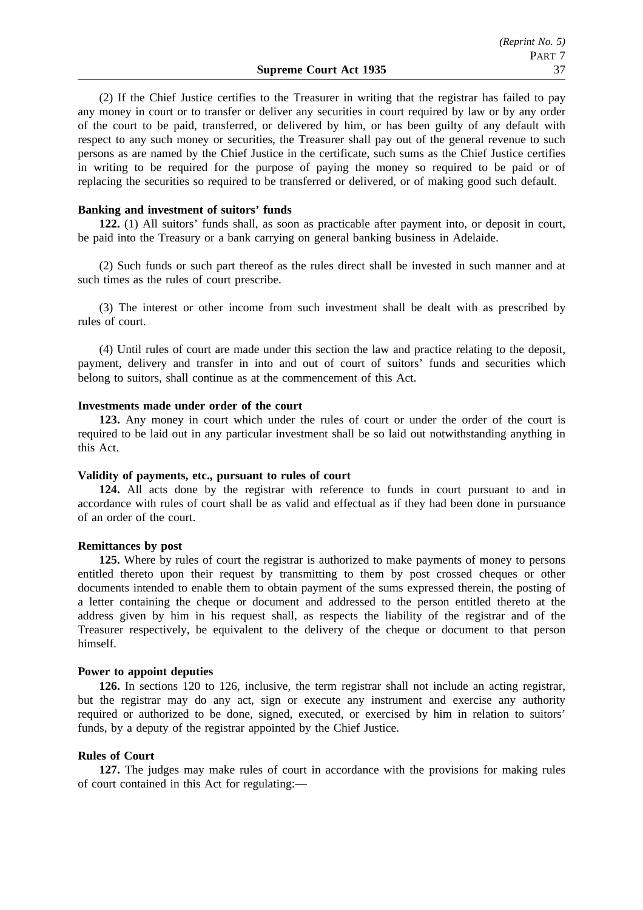(2) If the Chief Justice certifies to the Treasurer in writing that the registrar has failed to pay any money in court or to transfer or deliver any securities in court required by law or by any order of the court to be paid, transferred, or delivered by him, or has been guilty of any default with respect to any such money or securities, the Treasurer shall pay out of the general revenue to such persons as are named by the Chief Justice in the certificate, such sums as the Chief Justice certifies in writing to be required for the purpose of paying the money so required to be paid or of replacing the securities so required to be transferred or delivered, or of making good such default.

# **Banking and investment of suitors' funds**

**122.** (1) All suitors' funds shall, as soon as practicable after payment into, or deposit in court, be paid into the Treasury or a bank carrying on general banking business in Adelaide.

(2) Such funds or such part thereof as the rules direct shall be invested in such manner and at such times as the rules of court prescribe.

(3) The interest or other income from such investment shall be dealt with as prescribed by rules of court.

(4) Until rules of court are made under this section the law and practice relating to the deposit, payment, delivery and transfer in into and out of court of suitors' funds and securities which belong to suitors, shall continue as at the commencement of this Act.

#### **Investments made under order of the court**

**123.** Any money in court which under the rules of court or under the order of the court is required to be laid out in any particular investment shall be so laid out notwithstanding anything in this Act.

#### **Validity of payments, etc., pursuant to rules of court**

**124.** All acts done by the registrar with reference to funds in court pursuant to and in accordance with rules of court shall be as valid and effectual as if they had been done in pursuance of an order of the court.

# **Remittances by post**

**125.** Where by rules of court the registrar is authorized to make payments of money to persons entitled thereto upon their request by transmitting to them by post crossed cheques or other documents intended to enable them to obtain payment of the sums expressed therein, the posting of a letter containing the cheque or document and addressed to the person entitled thereto at the address given by him in his request shall, as respects the liability of the registrar and of the Treasurer respectively, be equivalent to the delivery of the cheque or document to that person himself.

#### **Power to appoint deputies**

**126.** In sections 120 to 126, inclusive, the term registrar shall not include an acting registrar, but the registrar may do any act, sign or execute any instrument and exercise any authority required or authorized to be done, signed, executed, or exercised by him in relation to suitors' funds, by a deputy of the registrar appointed by the Chief Justice.

#### **Rules of Court**

**127.** The judges may make rules of court in accordance with the provisions for making rules of court contained in this Act for regulating:—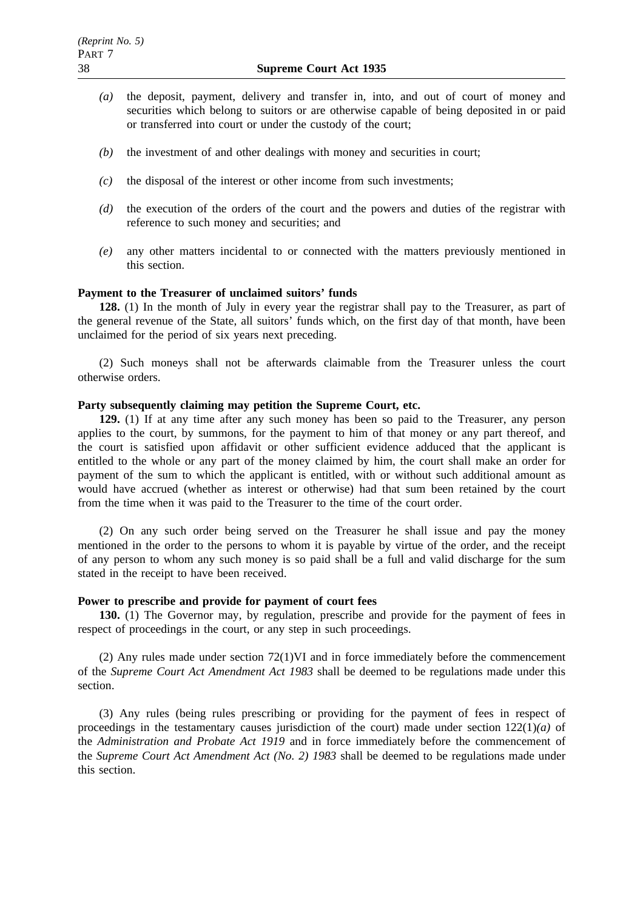- *(a)* the deposit, payment, delivery and transfer in, into, and out of court of money and securities which belong to suitors or are otherwise capable of being deposited in or paid or transferred into court or under the custody of the court;
- *(b)* the investment of and other dealings with money and securities in court;
- *(c)* the disposal of the interest or other income from such investments;
- *(d)* the execution of the orders of the court and the powers and duties of the registrar with reference to such money and securities; and
- *(e)* any other matters incidental to or connected with the matters previously mentioned in this section.

# **Payment to the Treasurer of unclaimed suitors' funds**

**128.** (1) In the month of July in every year the registrar shall pay to the Treasurer, as part of the general revenue of the State, all suitors' funds which, on the first day of that month, have been unclaimed for the period of six years next preceding.

(2) Such moneys shall not be afterwards claimable from the Treasurer unless the court otherwise orders.

#### **Party subsequently claiming may petition the Supreme Court, etc.**

**129.** (1) If at any time after any such money has been so paid to the Treasurer, any person applies to the court, by summons, for the payment to him of that money or any part thereof, and the court is satisfied upon affidavit or other sufficient evidence adduced that the applicant is entitled to the whole or any part of the money claimed by him, the court shall make an order for payment of the sum to which the applicant is entitled, with or without such additional amount as would have accrued (whether as interest or otherwise) had that sum been retained by the court from the time when it was paid to the Treasurer to the time of the court order.

(2) On any such order being served on the Treasurer he shall issue and pay the money mentioned in the order to the persons to whom it is payable by virtue of the order, and the receipt of any person to whom any such money is so paid shall be a full and valid discharge for the sum stated in the receipt to have been received.

# **Power to prescribe and provide for payment of court fees**

**130.** (1) The Governor may, by regulation, prescribe and provide for the payment of fees in respect of proceedings in the court, or any step in such proceedings.

(2) Any rules made under section 72(1)VI and in force immediately before the commencement of the *Supreme Court Act Amendment Act 1983* shall be deemed to be regulations made under this section.

(3) Any rules (being rules prescribing or providing for the payment of fees in respect of proceedings in the testamentary causes jurisdiction of the court) made under section  $122(1)(a)$  of the *Administration and Probate Act 1919* and in force immediately before the commencement of the *Supreme Court Act Amendment Act (No. 2) 1983* shall be deemed to be regulations made under this section.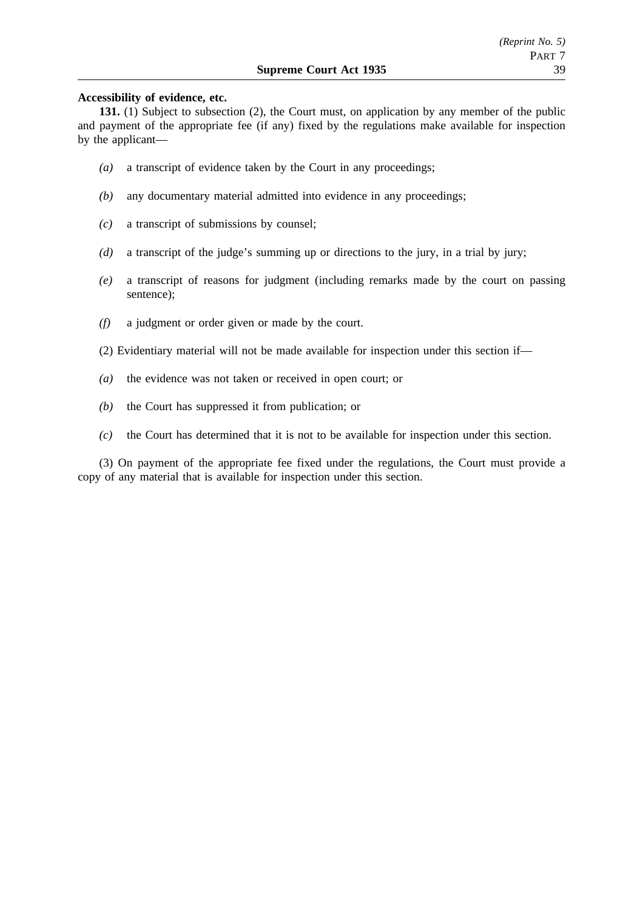## **Accessibility of evidence, etc.**

**131.** (1) Subject to subsection (2), the Court must, on application by any member of the public and payment of the appropriate fee (if any) fixed by the regulations make available for inspection by the applicant—

- *(a)* a transcript of evidence taken by the Court in any proceedings;
- *(b)* any documentary material admitted into evidence in any proceedings;
- *(c)* a transcript of submissions by counsel;
- *(d)* a transcript of the judge's summing up or directions to the jury, in a trial by jury;
- *(e)* a transcript of reasons for judgment (including remarks made by the court on passing sentence);
- *(f)* a judgment or order given or made by the court.
- (2) Evidentiary material will not be made available for inspection under this section if—
- *(a)* the evidence was not taken or received in open court; or
- *(b)* the Court has suppressed it from publication; or
- *(c)* the Court has determined that it is not to be available for inspection under this section.

(3) On payment of the appropriate fee fixed under the regulations, the Court must provide a copy of any material that is available for inspection under this section.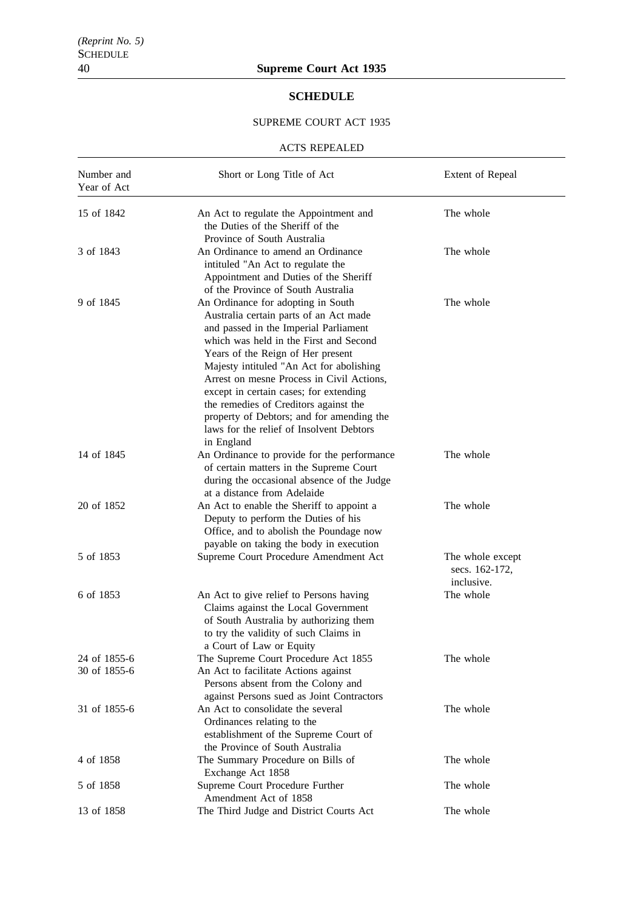# **SCHEDULE**

# SUPREME COURT ACT 1935

#### ACTS REPEALED

| Number and<br>Year of Act    | Short or Long Title of Act                                                                                                                                                                                                                                                                                                                                                                                                                                                              | Extent of Repeal                                 |
|------------------------------|-----------------------------------------------------------------------------------------------------------------------------------------------------------------------------------------------------------------------------------------------------------------------------------------------------------------------------------------------------------------------------------------------------------------------------------------------------------------------------------------|--------------------------------------------------|
| 15 of 1842                   | An Act to regulate the Appointment and<br>the Duties of the Sheriff of the<br>Province of South Australia                                                                                                                                                                                                                                                                                                                                                                               | The whole                                        |
| 3 of 1843                    | An Ordinance to amend an Ordinance<br>intituled "An Act to regulate the<br>Appointment and Duties of the Sheriff<br>of the Province of South Australia                                                                                                                                                                                                                                                                                                                                  | The whole                                        |
| 9 of 1845                    | An Ordinance for adopting in South<br>Australia certain parts of an Act made<br>and passed in the Imperial Parliament<br>which was held in the First and Second<br>Years of the Reign of Her present<br>Majesty intituled "An Act for abolishing<br>Arrest on mesne Process in Civil Actions,<br>except in certain cases; for extending<br>the remedies of Creditors against the<br>property of Debtors; and for amending the<br>laws for the relief of Insolvent Debtors<br>in England | The whole                                        |
| 14 of 1845                   | An Ordinance to provide for the performance<br>of certain matters in the Supreme Court<br>during the occasional absence of the Judge<br>at a distance from Adelaide                                                                                                                                                                                                                                                                                                                     | The whole                                        |
| 20 of 1852                   | An Act to enable the Sheriff to appoint a<br>Deputy to perform the Duties of his<br>Office, and to abolish the Poundage now<br>payable on taking the body in execution                                                                                                                                                                                                                                                                                                                  | The whole                                        |
| 5 of 1853                    | Supreme Court Procedure Amendment Act                                                                                                                                                                                                                                                                                                                                                                                                                                                   | The whole except<br>secs. 162-172,<br>inclusive. |
| 6 of 1853                    | An Act to give relief to Persons having<br>Claims against the Local Government<br>of South Australia by authorizing them<br>to try the validity of such Claims in<br>a Court of Law or Equity                                                                                                                                                                                                                                                                                           | The whole                                        |
| 24 of 1855-6<br>30 of 1855-6 | The Supreme Court Procedure Act 1855<br>An Act to facilitate Actions against<br>Persons absent from the Colony and<br>against Persons sued as Joint Contractors                                                                                                                                                                                                                                                                                                                         | The whole                                        |
| 31 of 1855-6                 | An Act to consolidate the several<br>Ordinances relating to the<br>establishment of the Supreme Court of<br>the Province of South Australia                                                                                                                                                                                                                                                                                                                                             | The whole                                        |
| 4 of 1858                    | The Summary Procedure on Bills of<br>Exchange Act 1858                                                                                                                                                                                                                                                                                                                                                                                                                                  | The whole                                        |
| 5 of 1858                    | Supreme Court Procedure Further<br>Amendment Act of 1858                                                                                                                                                                                                                                                                                                                                                                                                                                | The whole                                        |
| 13 of 1858                   | The Third Judge and District Courts Act                                                                                                                                                                                                                                                                                                                                                                                                                                                 | The whole                                        |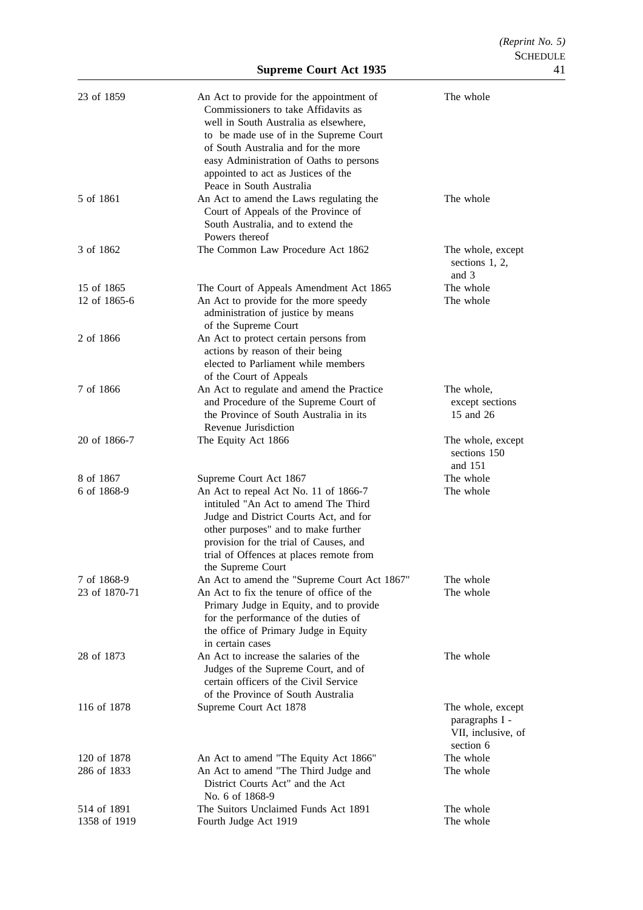| 23 of 1859                 | An Act to provide for the appointment of<br>Commissioners to take Affidavits as<br>well in South Australia as elsewhere,<br>to be made use of in the Supreme Court<br>of South Australia and for the more<br>easy Administration of Oaths to persons<br>appointed to act as Justices of the<br>Peace in South Australia | The whole                                                              |
|----------------------------|-------------------------------------------------------------------------------------------------------------------------------------------------------------------------------------------------------------------------------------------------------------------------------------------------------------------------|------------------------------------------------------------------------|
| 5 of 1861                  | An Act to amend the Laws regulating the<br>Court of Appeals of the Province of<br>South Australia, and to extend the<br>Powers thereof                                                                                                                                                                                  | The whole                                                              |
| 3 of 1862                  | The Common Law Procedure Act 1862                                                                                                                                                                                                                                                                                       | The whole, except<br>sections $1, 2,$<br>and 3                         |
| 15 of 1865<br>12 of 1865-6 | The Court of Appeals Amendment Act 1865                                                                                                                                                                                                                                                                                 | The whole                                                              |
|                            | An Act to provide for the more speedy<br>administration of justice by means<br>of the Supreme Court                                                                                                                                                                                                                     | The whole                                                              |
| 2 of 1866                  | An Act to protect certain persons from<br>actions by reason of their being<br>elected to Parliament while members<br>of the Court of Appeals                                                                                                                                                                            |                                                                        |
| 7 of 1866                  | An Act to regulate and amend the Practice<br>and Procedure of the Supreme Court of<br>the Province of South Australia in its<br>Revenue Jurisdiction                                                                                                                                                                    | The whole,<br>except sections<br>15 and 26                             |
| 20 of 1866-7               | The Equity Act 1866                                                                                                                                                                                                                                                                                                     | The whole, except<br>sections 150<br>and 151                           |
| 8 of 1867                  | Supreme Court Act 1867                                                                                                                                                                                                                                                                                                  | The whole                                                              |
| 6 of 1868-9                | An Act to repeal Act No. 11 of 1866-7<br>intituled "An Act to amend The Third<br>Judge and District Courts Act, and for<br>other purposes" and to make further<br>provision for the trial of Causes, and<br>trial of Offences at places remote from<br>the Supreme Court                                                | The whole                                                              |
| 7 of 1868-9                | An Act to amend the "Supreme Court Act 1867"                                                                                                                                                                                                                                                                            | The whole                                                              |
| 23 of 1870-71              | An Act to fix the tenure of office of the<br>Primary Judge in Equity, and to provide<br>for the performance of the duties of<br>the office of Primary Judge in Equity<br>in certain cases                                                                                                                               | The whole                                                              |
| 28 of 1873                 | An Act to increase the salaries of the<br>Judges of the Supreme Court, and of<br>certain officers of the Civil Service<br>of the Province of South Australia                                                                                                                                                            | The whole                                                              |
| 116 of 1878                | Supreme Court Act 1878                                                                                                                                                                                                                                                                                                  | The whole, except<br>paragraphs I -<br>VII, inclusive, of<br>section 6 |
| 120 of 1878                | An Act to amend "The Equity Act 1866"                                                                                                                                                                                                                                                                                   | The whole                                                              |
| 286 of 1833                | An Act to amend "The Third Judge and<br>District Courts Act" and the Act<br>No. 6 of 1868-9                                                                                                                                                                                                                             | The whole                                                              |
| 514 of 1891                | The Suitors Unclaimed Funds Act 1891                                                                                                                                                                                                                                                                                    | The whole                                                              |
| 1358 of 1919               | Fourth Judge Act 1919                                                                                                                                                                                                                                                                                                   | The whole                                                              |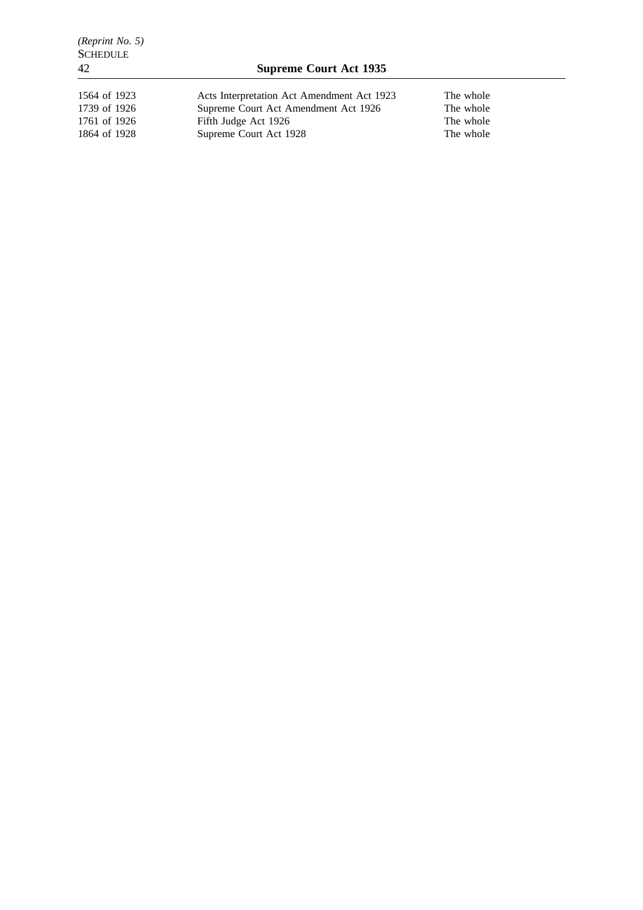| 1564 of 1923 | Acts Interpretation Act Amendment Act 1923 | The whole |
|--------------|--------------------------------------------|-----------|
| 1739 of 1926 | Supreme Court Act Amendment Act 1926       | The whole |
| 1761 of 1926 | Fifth Judge Act 1926                       | The whole |
| 1864 of 1928 | Supreme Court Act 1928                     | The whole |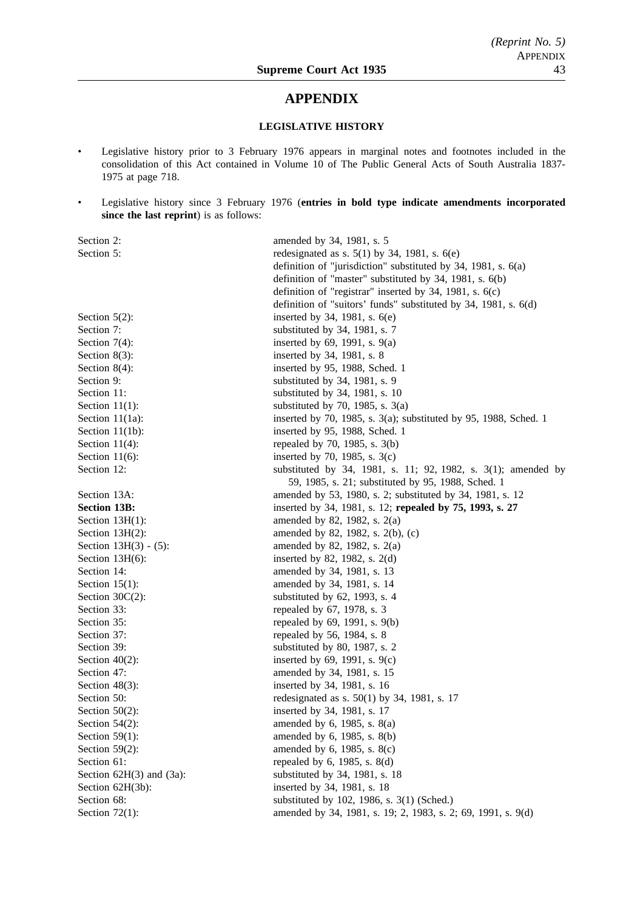# **APPENDIX**

# **LEGISLATIVE HISTORY**

- Legislative history prior to 3 February 1976 appears in marginal notes and footnotes included in the consolidation of this Act contained in Volume 10 of The Public General Acts of South Australia 1837- 1975 at page 718.
- Legislative history since 3 February 1976 (**entries in bold type indicate amendments incorporated since the last reprint**) is as follows:

| Section 2:                    | amended by 34, 1981, s. 5                                           |
|-------------------------------|---------------------------------------------------------------------|
| Section 5:                    | redesignated as s. $5(1)$ by 34, 1981, s. $6(e)$                    |
|                               | definition of "jurisdiction" substituted by 34, 1981, s. $6(a)$     |
|                               | definition of "master" substituted by 34, 1981, s. 6(b)             |
|                               | definition of "registrar" inserted by 34, 1981, s. 6(c)             |
|                               | definition of "suitors' funds" substituted by 34, 1981, s. 6(d)     |
| Section $5(2)$ :              | inserted by 34, 1981, s. 6(e)                                       |
| Section 7:                    | substituted by 34, 1981, s. 7                                       |
| Section $7(4)$ :              | inserted by 69, 1991, s. 9(a)                                       |
| Section $8(3)$ :              | inserted by 34, 1981, s. 8                                          |
| Section $8(4)$ :              | inserted by 95, 1988, Sched. 1                                      |
| Section 9:                    | substituted by 34, 1981, s. 9                                       |
| Section 11:                   | substituted by 34, 1981, s. 10                                      |
| Section $11(1)$ :             | substituted by 70, 1985, s. $3(a)$                                  |
| Section $11(1a)$ :            | inserted by 70, 1985, s. $3(a)$ ; substituted by 95, 1988, Sched. 1 |
| Section $11(1b)$ :            | inserted by 95, 1988, Sched. 1                                      |
| Section $11(4)$ :             | repealed by 70, 1985, s. 3(b)                                       |
| Section $11(6)$ :             | inserted by 70, 1985, s. $3(c)$                                     |
| Section 12:                   | substituted by 34, 1981, s. 11; 92, 1982, s. 3(1); amended by       |
|                               | 59, 1985, s. 21; substituted by 95, 1988, Sched. 1                  |
| Section 13A:                  | amended by 53, 1980, s. 2; substituted by 34, 1981, s. 12           |
| <b>Section 13B:</b>           | inserted by 34, 1981, s. 12; repealed by 75, 1993, s. 27            |
| Section $13H(1)$ :            | amended by 82, 1982, s. $2(a)$                                      |
| Section $13H(2)$ :            | amended by 82, 1982, s. 2(b), (c)                                   |
| Section $13H(3) - (5)$ :      | amended by 82, 1982, s. $2(a)$                                      |
| Section $13H(6)$ :            | inserted by 82, 1982, s. $2(d)$                                     |
| Section 14:                   | amended by 34, 1981, s. 13                                          |
| Section $15(1)$ :             | amended by 34, 1981, s. 14                                          |
| Section $30C(2)$ :            | substituted by 62, 1993, s. 4                                       |
| Section 33:                   | repealed by 67, 1978, s. 3                                          |
| Section 35:                   | repealed by 69, 1991, s. 9(b)                                       |
| Section 37:                   | repealed by 56, 1984, s. 8                                          |
| Section 39:                   | substituted by 80, 1987, s. 2                                       |
| Section $40(2)$ :             | inserted by 69, 1991, s. 9(c)                                       |
| Section 47:                   | amended by 34, 1981, s. 15                                          |
| Section $48(3)$ :             | inserted by 34, 1981, s. 16                                         |
| Section 50:                   | redesignated as s. 50(1) by 34, 1981, s. 17                         |
| Section $50(2)$ :             | inserted by 34, 1981, s. 17                                         |
| Section $54(2)$ :             | amended by $6$ , 1985, s. $8(a)$                                    |
| Section $59(1)$ :             | amended by 6, 1985, s. 8(b)                                         |
| Section $59(2)$ :             | amended by $6$ , 1985, s. $8(c)$                                    |
| Section 61:                   | repealed by $6$ , 1985, s. $8(d)$                                   |
| Section $62H(3)$ and $(3a)$ : | substituted by 34, 1981, s. 18                                      |
| Section 62H(3b):              | inserted by 34, 1981, s. 18                                         |
| Section 68:                   | substituted by 102, 1986, s. 3(1) (Sched.)                          |
| Section $72(1)$ :             | amended by 34, 1981, s. 19; 2, 1983, s. 2; 69, 1991, s. 9(d)        |
|                               |                                                                     |